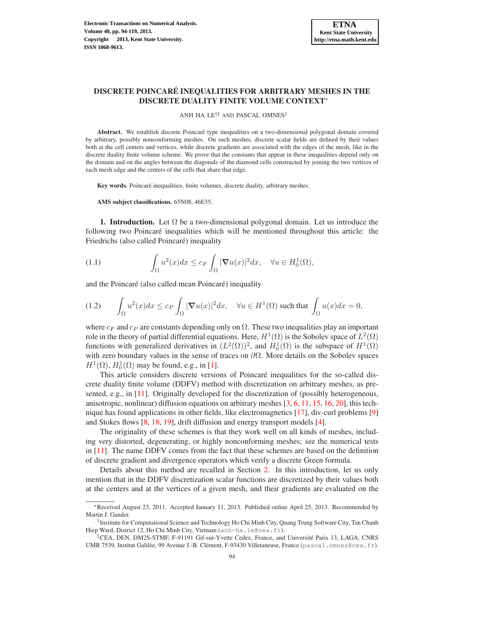# DISCRETE POINCARE INEQUALITIES FOR ARBITRARY MESHES IN THE ´ DISCRETE DUALITY FINITE VOLUME CONTEXT<sup>∗</sup>

ANH HA LE†‡ AND PASCAL OMNES‡

Abstract. We establish discrete Poincaré type inequalities on a two-dimensional polygonal domain covered by arbitrary, possibly nonconforming meshes. On such meshes, discrete scalar fields are defined by their values both at the cell centers and vertices, while discrete gradients are associated with the edges of the mesh, like in the discrete duality finite volume scheme. We prove that the constants that appear in these inequalities depend only on the domain and on the angles between the diagonals of the diamond cells constructed by joining the two vertices of each mesh edge and the centers of the cells that share that edge.

Key words. Poincaré inequalities, finite volumes, discrete duality, arbitrary meshes.

AMS subject classifications. 65N08, 46E35.

**1. Introduction.** Let  $\Omega$  be a two-dimensional polygonal domain. Let us introduce the following two Poincaré inequalities which will be mentioned throughout this article: the Friedrichs (also called Poincaré) inequality

<span id="page-0-0"></span>(1.1) 
$$
\int_{\Omega} u^2(x)dx \leq c_F \int_{\Omega} |\nabla u(x)|^2 dx, \quad \forall u \in H_0^1(\Omega),
$$

and the Poincaré (also called mean Poincaré) inequality

<span id="page-0-1"></span>(1.2) 
$$
\int_{\Omega} u^2(x)dx \leq c_P \int_{\Omega} |\nabla u(x)|^2 dx, \quad \forall u \in H^1(\Omega) \text{ such that } \int_{\Omega} u(x)dx = 0,
$$

where  $c_F$  and  $c_P$  are constants depending only on  $\Omega$ . These two inequalities play an important role in the theory of partial differential equations. Here,  $H^1(\Omega)$  is the Sobolev space of  $L^2(\Omega)$ functions with generalized derivatives in  $(L^2(\Omega))^2$ , and  $H_0^1(\Omega)$  is the subspace of  $H^1(\Omega)$ with zero boundary values in the sense of traces on  $\partial\Omega$ . More details on the Sobolev spaces  $H^1(\Omega)$ ,  $H_0^1(\Omega)$  may be found, e.g., in [\[1](#page-24-0)].

This article considers discrete versions of Poincaré inequalities for the so-called discrete duality finite volume (DDFV) method with discretization on arbitrary meshes, as presented, e.g., in [\[11\]](#page-24-1). Originally developed for the discretization of (possibly heterogeneous, anisotropic, nonlinear) diffusion equations on arbitrary meshes [\[3,](#page-24-2) [6](#page-24-3), [11](#page-24-1), [15,](#page-25-0) [16](#page-25-1), [20\]](#page-25-2), this technique has found applications in other fields, like electromagnetics [\[17](#page-25-3)], div-curl problems [\[9\]](#page-24-4) and Stokes flows [\[8,](#page-24-5) [18,](#page-25-4) [19\]](#page-25-5), drift diffusion and energy transport models [\[4\]](#page-24-6).

The originality of these schemes is that they work well on all kinds of meshes, including very distorted, degenerating, or highly nonconforming meshes; see the numerical tests in [\[11\]](#page-24-1). The name DDFV comes from the fact that these schemes are based on the definition of discrete gradient and divergence operators which verify a discrete Green formula.

Details about this method are recalled in Section [2.](#page-2-0) In this introduction, let us only mention that in the DDFV discretization scalar functions are discretized by their values both at the centers and at the vertices of a given mesh, and their gradients are evaluated on the

<sup>∗</sup>Received August 23, 2011. Accepted January 11, 2013. Published online April 25, 2013. Recommended by Martin J. Gander.

<sup>†</sup> Institute for Computational Science and Technology Ho Chi Minh City, Quang Trung Software City, Tan Chanh Hiep Ward, District 12, Ho Chi Minh City, Vietnam (anh-ha.le@cea.fr).

<sup>&</sup>lt;sup>‡</sup>CEA, DEN, DM2S-STMF, F-91191 Gif-sur-Yvette Cedex, France, and Université Paris 13, LAGA, CNRS UMR 7539, Institut Galilée, 99 Avenue J.-B. Clément, F-93430 Villetaneuse, France (pascal.omnes@cea.fr).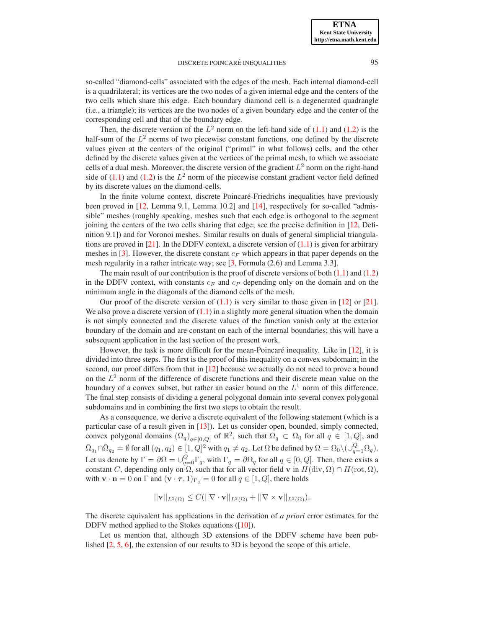**ETNA Kent State University http://etna.math.kent.edu**

### DISCRETE POINCARÉ INEQUALITIES  $95$

so-called "diamond-cells" associated with the edges of the mesh. Each internal diamond-cell is a quadrilateral; its vertices are the two nodes of a given internal edge and the centers of the two cells which share this edge. Each boundary diamond cell is a degenerated quadrangle (i.e., a triangle); its vertices are the two nodes of a given boundary edge and the center of the corresponding cell and that of the boundary edge.

Then, the discrete version of the  $L^2$  norm on the left-hand side of [\(1.1\)](#page-0-0) and [\(1.2\)](#page-0-1) is the half-sum of the  $L^2$  norms of two piecewise constant functions, one defined by the discrete values given at the centers of the original ("primal" in what follows) cells, and the other defined by the discrete values given at the vertices of the primal mesh, to which we associate cells of a dual mesh. Moreover, the discrete version of the gradient  $L^2$  norm on the right-hand side of  $(1.1)$  and  $(1.2)$  is the  $L^2$  norm of the piecewise constant gradient vector field defined by its discrete values on the diamond-cells.

In the finite volume context, discrete Poincaré-Friedrichs inequalities have previously been proved in [\[12,](#page-25-6) Lemma 9.1, Lemma 10.2] and [\[14](#page-25-7)], respectively for so-called "admissible" meshes (roughly speaking, meshes such that each edge is orthogonal to the segment joining the centers of the two cells sharing that edge; see the precise definition in [\[12,](#page-25-6) Definition 9.1]) and for Voronoi meshes. Similar results on duals of general simplicial triangula-tions are proved in [\[21](#page-25-8)]. In the DDFV context, a discrete version of  $(1.1)$  is given for arbitrary meshes in [\[3](#page-24-2)]. However, the discrete constant  $c_F$  which appears in that paper depends on the mesh regularity in a rather intricate way; see [\[3,](#page-24-2) Formula (2.6) and Lemma 3.3].

The main result of our contribution is the proof of discrete versions of both  $(1.1)$  and  $(1.2)$ in the DDFV context, with constants  $c_F$  and  $c_P$  depending only on the domain and on the minimum angle in the diagonals of the diamond cells of the mesh.

Our proof of the discrete version of  $(1.1)$  is very similar to those given in [\[12](#page-25-6)] or [\[21](#page-25-8)]. We also prove a discrete version of  $(1.1)$  in a slightly more general situation when the domain is not simply connected and the discrete values of the function vanish only at the exterior boundary of the domain and are constant on each of the internal boundaries; this will have a subsequent application in the last section of the present work.

However, the task is more difficult for the mean-Poincaré inequality. Like in  $[12]$  $[12]$ , it is divided into three steps. The first is the proof of this inequality on a convex subdomain; in the second, our proof differs from that in [\[12](#page-25-6)] because we actually do not need to prove a bound on the  $L^2$  norm of the difference of discrete functions and their discrete mean value on the boundary of a convex subset, but rather an easier bound on the  $L<sup>1</sup>$  norm of this difference. The final step consists of dividing a general polygonal domain into several convex polygonal subdomains and in combining the first two steps to obtain the result.

As a consequence, we derive a discrete equivalent of the following statement (which is a particular case of a result given in [\[13](#page-25-9)]). Let us consider open, bounded, simply connected, convex polygonal domains  $(\Omega_q)_{q \in [0,Q]}$  of  $\mathbb{R}^2$ , such that  $\Omega_q \subset \Omega_0$  for all  $q \in [1,Q]$ , and  $\bar\Omega_{q_1}\cap\bar\Omega_{q_2}=\emptyset$  for all  $(q_1,q_2)\in[1,Q]^2$  with  $q_1\neq q_2.$  Let  $\Omega$  be defined by  $\Omega=\Omega_0\setminus (\cup_{q=1}^Q\Omega_q).$ Let us denote by  $\Gamma = \partial \Omega = \bigcup_{q=0}^{Q} \Gamma_q$ , with  $\Gamma_q = \partial \Omega_q$  for all  $q \in [0, Q]$ . Then, there exists a constant C, depending only on  $\Omega$ , such that for all vector field v in  $H(\text{div}, \Omega) \cap H(\text{rot}, \Omega)$ , with  $\mathbf{v} \cdot \mathbf{n} = 0$  on  $\Gamma$  and  $(\mathbf{v} \cdot \boldsymbol{\tau}, 1)_{\Gamma_q} = 0$  for all  $q \in [1, Q]$ , there holds

$$
||\mathbf{v}||_{L^2(\Omega)} \leq C(||\nabla \cdot \mathbf{v}||_{L^2(\Omega)} + ||\nabla \times \mathbf{v}||_{L^2(\Omega)}).
$$

The discrete equivalent has applications in the derivation of *a priori* error estimates for the DDFV method applied to the Stokes equations ([\[10\]](#page-24-7)).

Let us mention that, although 3D extensions of the DDFV scheme have been published [\[2](#page-24-8), [5](#page-24-9), [6](#page-24-3)], the extension of our results to 3D is beyond the scope of this article.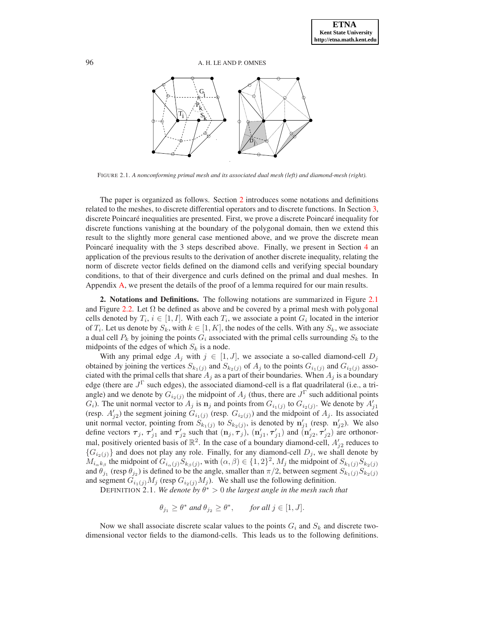

FIGURE 2.1. *A nonconforming primal mesh and its associated dual mesh (left) and diamond-mesh (right).*

The paper is organized as follows. Section [2](#page-2-0) introduces some notations and definitions related to the meshes, to discrete differential operators and to discrete functions. In Section [3,](#page-5-0) discrete Poincaré inequalities are presented. First, we prove a discrete Poincaré inequality for discrete functions vanishing at the boundary of the polygonal domain, then we extend this result to the slightly more general case mentioned above, and we prove the discrete mean Poincaré inequality with the 3 steps described above. Finally, we present in Section  $4$  an application of the previous results to the derivation of another discrete inequality, relating the norm of discrete vector fields defined on the diamond cells and verifying special boundary conditions, to that of their divergence and curls defined on the primal and dual meshes. In Appendix [A,](#page-19-0) we present the details of the proof of a lemma required for our main results.

<span id="page-2-0"></span>2. Notations and Definitions. The following notations are summarized in Figure [2.1](#page-20-0) and Figure [2.2.](#page-21-0) Let  $\Omega$  be defined as above and be covered by a primal mesh with polygonal cells denoted by  $T_i$ ,  $i \in [1, I]$ . With each  $T_i$ , we associate a point  $G_i$  located in the interior of  $T_i$ . Let us denote by  $S_k$ , with  $k \in [1, K]$ , the nodes of the cells. With any  $S_k$ , we associate a dual cell  $P_k$  by joining the points  $G_i$  associated with the primal cells surrounding  $S_k$  to the midpoints of the edges of which  $S_k$  is a node.

With any primal edge  $A_j$  with  $j \in [1, J]$ , we associate a so-called diamond-cell  $D_j$ obtained by joining the vertices  $S_{k_1(j)}$  and  $S_{k_2(j)}$  of  $A_j$  to the points  $G_{i_1(j)}$  and  $G_{i_2(j)}$  associated with the primal cells that share  $A_i$  as a part of their boundaries. When  $A_i$  is a boundary edge (there are  $J^{\Gamma}$  such edges), the associated diamond-cell is a flat quadrilateral (i.e., a triangle) and we denote by  $G_{i_2(j)}$  the midpoint of  $A_j$  (thus, there are  $J^{\Gamma}$  such additional points  $G_i$ ). The unit normal vector to  $A_j$  is  $\mathbf{n}_j$  and points from  $G_{i_1(j)}$  to  $G_{i_2(j)}$ . We denote by  $A'_{j1}$ (resp.  $A'_{j2}$ ) the segment joining  $G_{i1}(j)$  (resp.  $G_{i2}(j)$ ) and the midpoint of  $A_j$ . Its associated unit normal vector, pointing from  $S_{k_1(j)}$  to  $S_{k_2(j)}$ , is denoted by  $\mathbf{n}'_{j1}$  (resp.  $\mathbf{n}'_{j2}$ ). We also define vectors  $\tau_j$ ,  $\tau'_{j1}$  and  $\tau'_{j2}$  such that  $(n_j, \tau_j)$ ,  $(n'_{j1}, \tau'_{j1})$  and  $(n'_{j2}, \tau'_{j2})$  are orthonormal, positively oriented basis of  $\mathbb{R}^2$ . In the case of a boundary diamond-cell,  $A'_{j2}$  reduces to  ${G_i}_{(j)}$  and does not play any role. Finally, for any diamond-cell  $D_j$ , we shall denote by  $M_{i_{\alpha}k_{\beta}}$  the midpoint of  $G_{i_{\alpha}(j)}S_{k_{\beta}(j)}$ , with  $(\alpha,\beta)\in\{1,2\}^2$ ,  $M_j$  the midpoint of  $S_{k_1(j)}S_{k_2(j)}$ and  $\theta_{j_1}$  (resp  $\theta_{j_2}$ ) is defined to be the angle, smaller than  $\pi/2$ , between segment  $S_{k_1(j)}S_{k_2(j)}$ and segment  $G_{i_1(j)}M_j$  (resp  $G_{i_2(j)}M_j$ ). We shall use the following definition.

DEFINITION 2.1. We denote by  $\theta^* > 0$  the largest angle in the mesh such that

<span id="page-2-1"></span> $\theta_{j_1} \geq \theta^*$  and  $\theta_{j_2} \geq \theta^*$ , *for all*  $j \in [1, J]$ .

Now we shall associate discrete scalar values to the points  $G_i$  and  $S_k$  and discrete twodimensional vector fields to the diamond-cells. This leads us to the following definitions.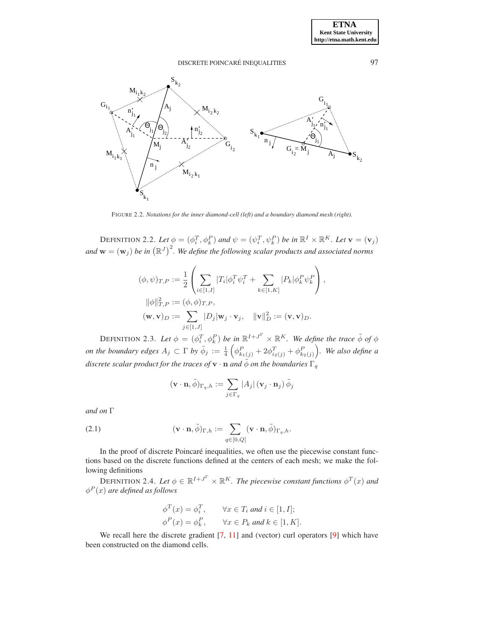

FIGURE 2.2. *Notations for the inner diamond-cell (left) and a boundary diamond mesh (right).*

DEFINITION 2.2. Let  $\phi = (\phi_i^T, \phi_k^P)$  and  $\psi = (\psi_i^T, \psi_k^P)$  be in  $\mathbb{R}^I \times \mathbb{R}^K$ . Let  $\mathbf{v} = (\mathbf{v}_j)$ and  $\mathbf{w} = (\mathbf{w}_j)$  be in  $(\mathbb{R}^J)^2$ . We define the following scalar products and associated norms

$$
(\phi, \psi)_{T,P} := \frac{1}{2} \left( \sum_{i \in [1, I]} |T_i| \phi_i^T \psi_i^T + \sum_{k \in [1, K]} |P_k| \phi_k^P \psi_k^P \right),
$$
  

$$
\|\phi\|_{T,P}^2 := (\phi, \phi)_{T,P},
$$
  

$$
(\mathbf{w}, \mathbf{v})_D := \sum_{j \in [1, J]} |D_j| \mathbf{w}_j \cdot \mathbf{v}_j, \quad \|\mathbf{v}\|_D^2 := (\mathbf{v}, \mathbf{v})_D.
$$

DEFINITION 2.3. Let  $\phi = (\phi_i^T, \phi_k^P)$  be in  $\mathbb{R}^{I+J^{\Gamma}} \times \mathbb{R}^{K}$ . We define the trace  $\tilde{\phi}$  of  $\phi$ *on the boundary edges*  $A_j \subset \Gamma$  *by*  $\tilde{\phi}_j := \frac{1}{4} \left( \phi_{k_1(j)}^P + 2\phi_{i_2(j)}^T + \phi_{k_2(j)}^P \right)$ *. We also define a discrete scalar product for the traces of*  $\mathbf{v} \cdot \mathbf{n}$  *and*  $\phi$  *on the boundaries*  $\Gamma_q$ 

<span id="page-3-2"></span>
$$
(\mathbf{v} \cdot \mathbf{n}, \tilde{\phi})_{\Gamma_q, h} := \sum_{j \in \Gamma_q} |A_j| (\mathbf{v}_j \cdot \mathbf{n}_j) \tilde{\phi}_j
$$

*and on* Γ

(2.1) 
$$
(\mathbf{v} \cdot \mathbf{n}, \tilde{\phi})_{\Gamma, h} := \sum_{q \in [0, Q]} (\mathbf{v} \cdot \mathbf{n}, \tilde{\phi})_{\Gamma_q, h}.
$$

In the proof of discrete Poincaré inequalities, we often use the piecewise constant functions based on the discrete functions defined at the centers of each mesh; we make the following definitions

DEFINITION 2.4. Let  $\phi \in \mathbb{R}^{I+J^{\Gamma}} \times \mathbb{R}^{K}$ . The piecewise constant functions  $\phi^{T}(x)$  and  $\phi^P(x)$  are defined as follows

<span id="page-3-1"></span><span id="page-3-0"></span>
$$
\begin{aligned}\n\phi^T(x) &= \phi_i^T, & \forall x \in T_i \text{ and } i \in [1, I]; \\
\phi^P(x) &= \phi_k^P, & \forall x \in P_k \text{ and } k \in [1, K].\n\end{aligned}
$$

We recall here the discrete gradient  $[7, 11]$  $[7, 11]$  and (vector) curl operators  $[9]$  which have been constructed on the diamond cells.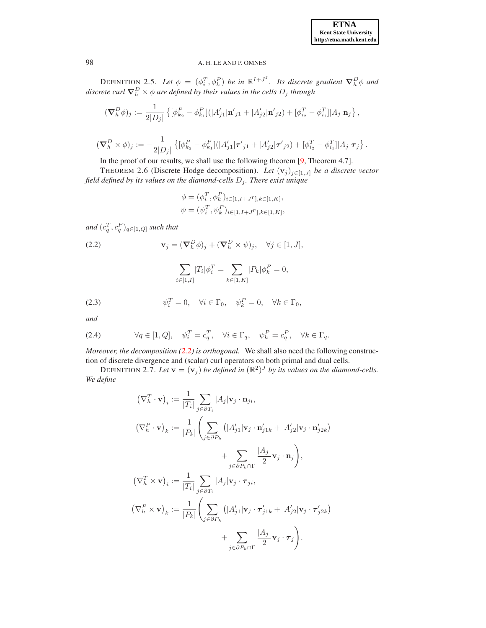DEFINITION 2.5. Let  $\phi = (\phi_i^T, \phi_k^P)$  be in  $\mathbb{R}^{I+J^{\Gamma}}$ . Its discrete gradient  $\nabla_h^D \phi$  and  $discrete\ curl\ {\bf \nabla}^D_h\times \phi$  are defined by their values in the cells  $D_j$  through

$$
(\nabla_h^D \phi)_j := \frac{1}{2|D_j|} \left\{ [\phi_{k_2}^P - \phi_{k_1}^P] (|A_{j1}'| \mathbf{n}'_{j1} + |A_{j2}'| \mathbf{n}'_{j2}) + [\phi_{i_2}^T - \phi_{i_1}^T] |A_j| \mathbf{n}_j \right\},\
$$
  

$$
(\nabla_h^D \times \phi)_j := -\frac{1}{2|D_j|} \left\{ [\phi_{k_2}^P - \phi_{k_1}^P] (|A_{j1}'| \boldsymbol{\tau}'_{j1} + |A_{j2}'| \boldsymbol{\tau}'_{j2}) + [\phi_{i_2}^T - \phi_{i_1}^T] |A_j| \boldsymbol{\tau}_j \right\}.
$$

In the proof of our results, we shall use the following theorem [\[9](#page-24-4), Theorem 4.7].

THEOREM 2.6 (Discrete Hodge decomposition). *Let*  $(v_j)_{j \in [1, J]}$  *be a discrete vector field defined by its values on the diamond-cells* D<sup>j</sup> *. There exist unique*

<span id="page-4-1"></span>
$$
\phi = (\phi_i^T, \phi_k^P)_{i \in [1, I+J^{\Gamma}], k \in [1, K]},
$$
  

$$
\psi = (\psi_i^T, \psi_k^P)_{i \in [1, I+J^{\Gamma}], k \in [1, K]},
$$

and  $(c_q^T, c_q^P)_{q \in [1, Q]}$  such that

(2.2) 
$$
\mathbf{v}_j = (\nabla_h^D \phi)_j + (\nabla_h^D \times \psi)_j, \quad \forall j \in [1, J],
$$

<span id="page-4-3"></span><span id="page-4-0"></span>
$$
\sum_{i \in [1, I]} |T_i| \phi_i^T = \sum_{k \in [1, K]} |P_k| \phi_k^P = 0,
$$

(2.3) 
$$
\psi_i^T = 0, \quad \forall i \in \Gamma_0, \quad \psi_k^P = 0, \quad \forall k \in \Gamma_0,
$$

*and*

<span id="page-4-2"></span>(2.4) 
$$
\forall q \in [1, Q], \quad \psi_i^T = c_q^T, \quad \forall i \in \Gamma_q, \quad \psi_k^P = c_q^P, \quad \forall k \in \Gamma_q.
$$

*Moreover, the decomposition [\(2.2\)](#page-4-0) is orthogonal.* We shall also need the following construction of discrete divergence and (scalar) curl operators on both primal and dual cells.

DEFINITION 2.7. Let  $\mathbf{v} = (\mathbf{v}_j)$  be defined in  $(\mathbb{R}^2)^J$  by its values on the diamond-cells. *We define*

$$
(\nabla_h^T \cdot \mathbf{v})_i := \frac{1}{|T_i|} \sum_{j \in \partial T_i} |A_j| \mathbf{v}_j \cdot \mathbf{n}_{ji},
$$
  
\n
$$
(\nabla_h^P \cdot \mathbf{v})_k := \frac{1}{|P_k|} \left( \sum_{j \in \partial P_k} (|A'_{j1}| \mathbf{v}_j \cdot \mathbf{n}'_{j1k} + |A'_{j2}| \mathbf{v}_j \cdot \mathbf{n}'_{j2k}) + \sum_{j \in \partial P_k \cap \Gamma} \frac{|A_j|}{2} \mathbf{v}_j \cdot \mathbf{n}_j \right),
$$
  
\n
$$
(\nabla_h^T \times \mathbf{v})_i := \frac{1}{|T_i|} \sum_{j \in \partial T_i} |A_j| \mathbf{v}_j \cdot \tau_{ji},
$$
  
\n
$$
(\nabla_h^P \times \mathbf{v})_k := \frac{1}{|P_k|} \left( \sum_{j \in \partial P_k} (|A'_{j1}| \mathbf{v}_j \cdot \tau'_{j1k} + |A'_{j2}| \mathbf{v}_j \cdot \tau'_{j2k}) + \sum_{j \in \partial P_k \cap \Gamma} \frac{|A_j|}{2} \mathbf{v}_j \cdot \tau_j \right).
$$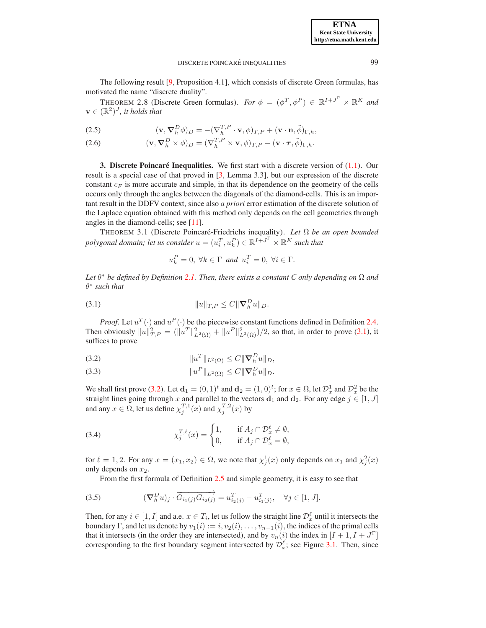The following result [\[9,](#page-24-4) Proposition 4.1], which consists of discrete Green formulas, has motivated the name "discrete duality".

THEOREM 2.8 (Discrete Green formulas). *For*  $\phi = (\phi^T, \phi^P) \in \mathbb{R}^{I+J^T} \times \mathbb{R}^K$  and  $\mathbf{v} \in (\mathbb{R}^2)^J$ , it holds that

<span id="page-5-7"></span>(2.5) 
$$
(\mathbf{v}, \nabla_h^D \phi)_D = -(\nabla_h^{T,P} \cdot \mathbf{v}, \phi)_{T,P} + (\mathbf{v} \cdot \mathbf{n}, \tilde{\phi})_{\Gamma,h},
$$

(2.6) 
$$
(\mathbf{v}, \nabla_h^D \times \phi)_D = (\nabla_h^{T,P} \times \mathbf{v}, \phi)_{T,P} - (\mathbf{v} \cdot \boldsymbol{\tau}, \tilde{\phi})_{\Gamma,h}.
$$

<span id="page-5-0"></span>3. Discrete Poincaré Inequalities. We first start with a discrete version of  $(1.1)$ . Our result is a special case of that proved in [\[3,](#page-24-2) Lemma 3.3], but our expression of the discrete constant  $c_F$  is more accurate and simple, in that its dependence on the geometry of the cells occurs only through the angles between the diagonals of the diamond-cells. This is an important result in the DDFV context, since also *a priori* error estimation of the discrete solution of the Laplace equation obtained with this method only depends on the cell geometries through angles in the diamond-cells; see [\[11\]](#page-24-1).

THEOREM 3.1 (Discrete Poincaré-Friedrichs inequality). Let Ω be an open bounded  $\textit{polygonal domain; let us consider } u = (u_i^T, u_k^P) \in \mathbb{R}^{I + J^{\Gamma}} \times \mathbb{R}^{K}$  such that

<span id="page-5-5"></span>
$$
u_k^P = 0, \ \forall k \in \Gamma \ and \ u_i^T = 0, \ \forall i \in \Gamma.
$$

*Let* θ <sup>∗</sup> *be defined by Definition [2.1.](#page-2-1) Then, there exists a constant C only depending on* Ω *and* θ ∗ *such that*

<span id="page-5-1"></span>(3.1) 
$$
||u||_{T,P} \leq C ||\nabla_h^D u||_D.
$$

*Proof.* Let  $u^T(\cdot)$  and  $u^P(\cdot)$  be the piecewise constant functions defined in Definition [2.4.](#page-3-0) Then obviously  $||u||_{T,P}^2 = (||u^T||_{L^2(\Omega)}^2 + ||u^P||_{L^2(\Omega)}^2)/2$ , so that, in order to prove [\(3.1\)](#page-5-1), it suffices to prove

<span id="page-5-2"></span>(3.2) 
$$
||u^T||_{L^2(\Omega)} \leq C||\nabla_h^D u||_D,
$$

<span id="page-5-4"></span>(3.3) 
$$
||u^P||_{L^2(\Omega)} \leq C||\nabla_h^D u||_D.
$$

We shall first prove [\(3.2\)](#page-5-2). Let  $\mathbf{d}_1 = (0,1)^t$  and  $\mathbf{d}_2 = (1,0)^t$ ; for  $x \in \Omega$ , let  $\mathcal{D}_x^1$  and  $\mathcal{D}_x^2$  be the straight lines going through x and parallel to the vectors  $\mathbf{d}_1$  and  $\mathbf{d}_2$ . For any edge  $j \in [1, J]$ and any  $x \in \Omega$ , let us define  $\chi_j^{T,1}(x)$  and  $\chi_j^{T,2}(x)$  by

(3.4) 
$$
\chi_j^{T,\ell}(x) = \begin{cases} 1, & \text{if } A_j \cap \mathcal{D}_x^{\ell} \neq \emptyset, \\ 0, & \text{if } A_j \cap \mathcal{D}_x^{\ell} = \emptyset, \end{cases}
$$

for  $\ell = 1, 2$ . For any  $x = (x_1, x_2) \in \Omega$ , we note that  $\chi_j^1(x)$  only depends on  $x_1$  and  $\chi_j^2(x)$ only depends on  $x_2$ .

<span id="page-5-6"></span><span id="page-5-3"></span>From the first formula of Definition [2.5](#page-3-1) and simple geometry, it is easy to see that

(3.5) 
$$
(\boldsymbol{\nabla}_{h}^{D} u)_{j} \cdot \overrightarrow{G_{i_{1}(j)} G_{i_{2}(j)}} = u_{i_{2}(j)}^{T} - u_{i_{1}(j)}^{T}, \quad \forall j \in [1, J].
$$

Then, for any  $i \in [1, I]$  and a.e.  $x \in T_i$ , let us follow the straight line  $\mathcal{D}_x^{\ell}$  until it intersects the boundary Γ, and let us denote by  $v_1(i) := i, v_2(i), \ldots, v_{n-1}(i)$ , the indices of the primal cells that it intersects (in the order they are intersected), and by  $v_n(i)$  the index in  $[I + 1, I + J^{\Gamma}]$ corresponding to the first boundary segment intersected by  $\mathcal{D}_x^{\ell}$ ; see Figure [3.1.](#page-20-0) Then, since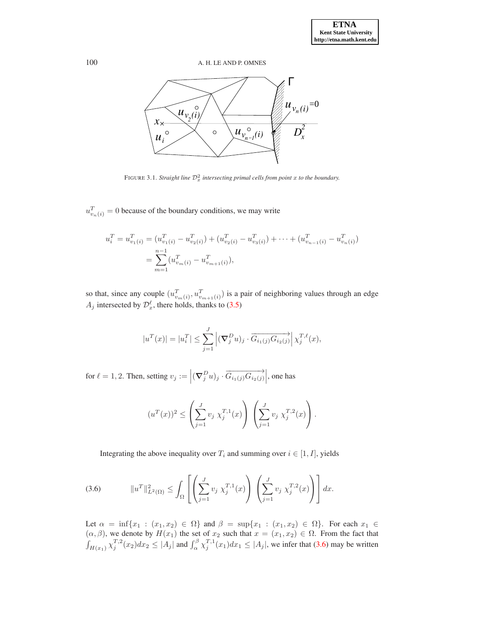

FIGURE 3.1. *Straight line*  $\mathcal{D}_x^2$  *intersecting primal cells from point* x *to the boundary.* 

 $u_{v_n(i)}^T = 0$  because of the boundary conditions, we may write

$$
u_i^T = u_{v_1(i)}^T = (u_{v_1(i)}^T - u_{v_2(i)}^T) + (u_{v_2(i)}^T - u_{v_3(i)}^T) + \dots + (u_{v_{n-1}(i)}^T - u_{v_n(i)}^T) \\
= \sum_{m=1}^{n-1} (u_{v_m(i)}^T - u_{v_{m+1}(i)}^T),
$$

so that, since any couple  $(u_{v_m(i)}^T, u_{v_{m+1}(i)}^T)$  is a pair of neighboring values through an edge  $A_j$  intersected by  $\mathcal{D}_x^{\ell}$ , there holds, thanks to [\(3.5\)](#page-5-3)

$$
|u^T(x)| = |u_i^T| \le \sum_{j=1}^J \left| (\nabla_j^D u)_j \cdot \overrightarrow{G_{i_1(j)} G_{i_2(j)}} \right| \chi_j^{T,\ell}(x),
$$

for  $\ell = 1, 2$ . Then, setting  $v_j := \left| (\nabla_j^D u)_j \cdot \overrightarrow{G_{i_1(j)} G_{i_2(j)}} \right|$ , one has

$$
(u^{T}(x))^{2} \leq \left(\sum_{j=1}^{J} v_{j} \chi_{j}^{T,1}(x)\right) \left(\sum_{j=1}^{J} v_{j} \chi_{j}^{T,2}(x)\right).
$$

Integrating the above inequality over  $T_i$  and summing over  $i \in [1, I]$ , yields

<span id="page-6-0"></span>(3.6) 
$$
||u^T||_{L^2(\Omega)}^2 \leq \int_{\Omega} \left[ \left( \sum_{j=1}^J v_j \ \chi_j^{T,1}(x) \right) \left( \sum_{j=1}^J v_j \ \chi_j^{T,2}(x) \right) \right] dx.
$$

Let  $\alpha = \inf\{x_1 : (x_1, x_2) \in \Omega\}$  and  $\beta = \sup\{x_1 : (x_1, x_2) \in \Omega\}$ . For each  $x_1 \in$  $(\alpha, \beta)$ , we denote by  $H(x_1)$  the set of  $x_2$  such that  $x = (x_1, x_2) \in \Omega$ . From the fact that  $\int_{H(x_1)} \chi_j^{T,2}(x_2) dx_2 \le |A_j|$  and  $\int_{\alpha}^{\beta} \chi_j^{T,1}(x_1) dx_1 \le |A_j|$ , we infer that [\(3.6\)](#page-6-0) may be written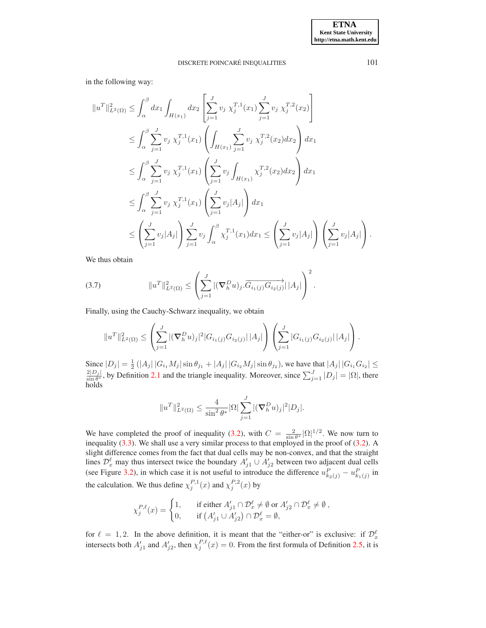in the following way:

$$
||u^T||_{L^2(\Omega)}^2 \leq \int_{\alpha}^{\beta} dx_1 \int_{H(x_1)} dx_2 \left[ \sum_{j=1}^J v_j \chi_j^{T,1}(x_1) \sum_{j=1}^J v_j \chi_j^{T,2}(x_2) \right]
$$
  
\n
$$
\leq \int_{\alpha}^{\beta} \sum_{j=1}^J v_j \chi_j^{T,1}(x_1) \left( \int_{H(x_1)} \sum_{j=1}^J v_j \chi_j^{T,2}(x_2) dx_2 \right) dx_1
$$
  
\n
$$
\leq \int_{\alpha}^{\beta} \sum_{j=1}^J v_j \chi_j^{T,1}(x_1) \left( \sum_{j=1}^J v_j \int_{H(x_1)} \chi_j^{T,2}(x_2) dx_2 \right) dx_1
$$
  
\n
$$
\leq \int_{\alpha}^{\beta} \sum_{j=1}^J v_j \chi_j^{T,1}(x_1) \left( \sum_{j=1}^J v_j |A_j| \right) dx_1
$$
  
\n
$$
\leq \left( \sum_{j=1}^J v_j |A_j| \right) \sum_{j=1}^J v_j \int_{\alpha}^{\beta} \chi_j^{T,1}(x_1) dx_1 \leq \left( \sum_{j=1}^J v_j |A_j| \right) \left( \sum_{j=1}^J v_j |A_j| \right).
$$

We thus obtain

(3.7) 
$$
||u^T||_{L^2(\Omega)}^2 \leq \left(\sum_{j=1}^J |(\nabla_h^D u)_j . \overrightarrow{G_{i_1(j)} G_{i_2(j)}}| |A_j|\right)^2.
$$

Finally, using the Cauchy-Schwarz inequality, we obtain

<span id="page-7-0"></span>
$$
||u^T||_{L^2(\Omega)}^2 \leq \left(\sum_{j=1}^J |(\nabla_h^D u)_j|^2 |G_{i_1(j)}G_{i_2(j)}||A_j|\right) \left(\sum_{j=1}^J |G_{i_1(j)}G_{i_2(j)}||A_j|\right).
$$

Since  $|D_j| = \frac{1}{2} (|A_j| |G_{i_1} M_j| \sin \theta_{j_1} + |A_j| |G_{i_2} M_j| \sin \theta_{j_2})$ , we have that  $|A_j| |G_{i_1} G_{i_2}| \le$  $2|D_j|$  $\frac{2|D_j|}{\sin \theta^*}$ , by Definition [2.1](#page-2-1) and the triangle inequality. Moreover, since  $\sum_{j=1}^J |D_j| = |\Omega|$ , there holds

$$
||u^T||_{L^2(\Omega)}^2 \le \frac{4}{\sin^2 \theta^*} |\Omega| \sum_{j=1}^J |(\nabla_h^D u)_j|^2 |D_j|.
$$

We have completed the proof of inequality [\(3.2\)](#page-5-2), with  $C = \frac{2}{\sin \theta^*} |\Omega|^{1/2}$ . We now turn to inequality [\(3.3\)](#page-5-4). We shall use a very similar process to that employed in the proof of [\(3.2\)](#page-5-2). A slight difference comes from the fact that dual cells may be non-convex, and that the straight lines  $\mathcal{D}_x^{\ell}$  may thus intersect twice the boundary  $A'_{j1} \cup A'_{j2}$  between two adjacent dual cells (see Figure [3.2\)](#page-21-0), in which case it is not useful to introduce the difference  $u_{k_2(j)}^P - u_{k_1(j)}^P$  in the calculation. We thus define  $\chi_j^{P,1}(x)$  and  $\chi_j^{P,2}(x)$  by

$$
\chi_j^{P,\ell}(x) = \begin{cases} 1, & \text{if either } A'_{j1} \cap \mathcal{D}_x^{\ell} \neq \emptyset \text{ or } A'_{j2} \cap \mathcal{D}_x^{\ell} \neq \emptyset, \\ 0, & \text{if } \left( A'_{j1} \cup A'_{j2} \right) \cap \mathcal{D}_x^{\ell} = \emptyset, \end{cases}
$$

for  $\ell = 1, 2$ . In the above definition, it is meant that the "either-or" is exclusive: if  $\mathcal{D}_x^{\ell}$ intersects both  $A'_{j1}$  and  $A'_{j2}$ , then  $\chi_j^{P,\ell}(x) = 0$ . From the first formula of Definition [2.5,](#page-3-1) it is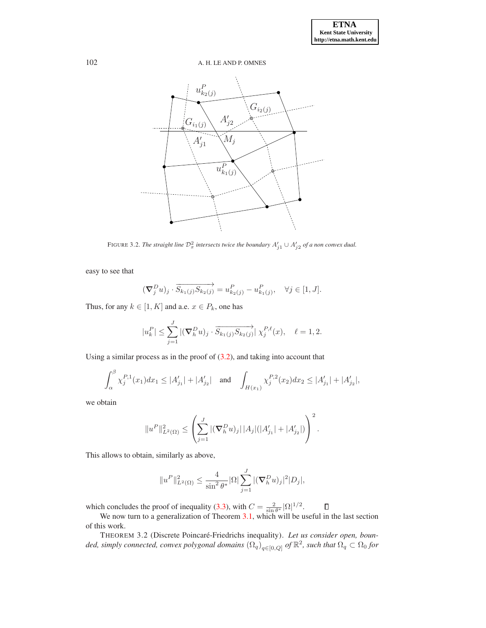

FIGURE 3.2. *The straight line*  $\mathcal{D}_x^2$  *intersects twice the boundary*  $A'_{j1} \cup A'_{j2}$  *of a non convex dual.* 

easy to see that

$$
(\nabla_j^D u)_j \cdot \overrightarrow{S_{k_1(j)}S_{k_2(j)}} = u_{k_2(j)}^P - u_{k_1(j)}^P, \quad \forall j \in [1, J].
$$

Thus, for any  $k \in [1, K]$  and a.e.  $x \in P_k$ , one has

$$
|u_k^P| \le \sum_{j=1}^J |(\nabla_h^D u)_j \cdot \overrightarrow{S_{k_1(j)}S_{k_2(j)}}| \chi_j^{P,\ell}(x), \quad \ell = 1, 2.
$$

Using a similar process as in the proof of  $(3.2)$ , and taking into account that

$$
\int_{\alpha}^{\beta} \chi_j^{P,1}(x_1) dx_1 \le |A'_{j_1}| + |A'_{j_2}| \quad \text{and} \quad \int_{H(x_1)} \chi_j^{P,2}(x_2) dx_2 \le |A'_{j_1}| + |A'_{j_2}|,
$$

we obtain

$$
||u^P||_{L^2(\Omega)}^2 \leq \left(\sum_{j=1}^J |(\nabla_h^D u)_j| |A_j|(|A_{j_1}'| + |A_{j_2}'|)\right)^2.
$$

This allows to obtain, similarly as above,

$$
||u^P||_{L^2(\Omega)}^2 \le \frac{4}{\sin^2 \theta^*} |\Omega| \sum_{j=1}^J |(\nabla_h^D u)_j|^2 |D_j|,
$$

which concludes the proof of inequality [\(3.3\)](#page-5-4), with  $C = \frac{2}{\sin \theta^*} |\Omega|^{1/2}$ .

We now turn to a generalization of Theorem [3.1,](#page-5-5) which will be useful in the last section of this work.

<span id="page-8-0"></span>THEOREM 3.2 (Discrete Poincaré-Friedrichs inequality). Let us consider open, bounded, simply connected, convex polygonal domains  $(\Omega_q)_{q\in[0,Q]}$  of  $\mathbb{R}^2$ , such that  $\Omega_q\subset\Omega_0$  for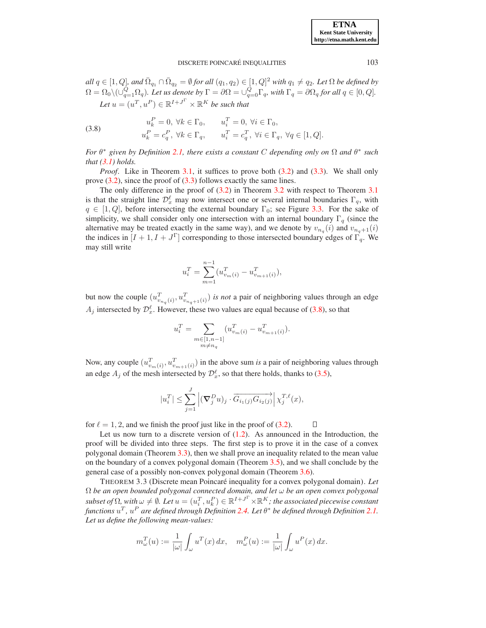$all\ q\in[1,Q]$ , and  $\bar{\Omega}_{q_1}\cap\bar{\Omega}_{q_2}=\emptyset$  for all  $(q_1,q_2)\in[1,Q]^2$  with  $q_1\neq q_2$ . Let  $\Omega$  be defined by  $\Omega = \Omega_0 \setminus (\cup_{q=1}^Q \Omega_q)$ . Let us denote by  $\Gamma = \partial \Omega = \cup_{q=0}^Q \Gamma_q$ , with  $\Gamma_q = \partial \Omega_q$  for all  $q \in [0,Q]$ . Let  $u = (u^T, u^P) \in \mathbb{R}^{I + J^{\Gamma}} \times \mathbb{R}^{K}$  be such that

<span id="page-9-0"></span>(3.8) 
$$
u_k^P = 0, \forall k \in \Gamma_0, \qquad u_i^T = 0, \forall i \in \Gamma_0,
$$

$$
u_k^P = c_q^P, \forall k \in \Gamma_q, \qquad u_i^T = c_q^T, \forall i \in \Gamma_q, \forall q \in [1, Q].
$$

*For*  $\theta^*$  given by Definition [2.1,](#page-2-1) there exists a constant C depending only on  $\Omega$  and  $\theta^*$  such *that [\(3.1\)](#page-5-1) holds.*

*Proof.* Like in Theorem [3.1,](#page-5-5) it suffices to prove both [\(3.2\)](#page-5-2) and [\(3.3\)](#page-5-4). We shall only prove  $(3.2)$ , since the proof of  $(3.3)$  follows exactly the same lines.

The only difference in the proof of [\(3.2\)](#page-5-2) in Theorem [3.2](#page-8-0) with respect to Theorem [3.1](#page-5-5) is that the straight line  $\mathcal{D}_x^{\ell}$  may now intersect one or several internal boundaries  $\Gamma_q$ , with  $q \in [1, Q]$ , before intersecting the external boundary  $\Gamma_0$ ; see Figure [3.3.](#page-22-0) For the sake of simplicity, we shall consider only one intersection with an internal boundary  $\Gamma_q$  (since the alternative may be treated exactly in the same way), and we denote by  $v_{n_q}(i)$  and  $v_{n_q+1}(i)$ the indices in  $[I + 1, I + J^{\Gamma}]$  corresponding to those intersected boundary edges of  $\Gamma_q$ . We may still write

$$
u_i^T = \sum_{m=1}^{n-1} (u_{v_m(i)}^T - u_{v_{m+1}(i)}^T),
$$

but now the couple  $(u_{v_{n_q}(i)}^T, u_{v_{n_q+1}(i)}^T)$  *is not* a pair of neighboring values through an edge  $A_j$  intersected by  $\mathcal{D}_x^{\ell}$ . However, these two values are equal because of [\(3.8\)](#page-9-0), so that

$$
u_i^T = \sum_{\substack{m \in [1,n-1] \\ m \neq n_q}} \left( u_{v_m(i)}^T - u_{v_{m+1}(i)}^T \right).
$$

Now, any couple  $(u_{v_m(i)}^T, u_{v_{m+1}(i)}^T)$  in the above sum *is* a pair of neighboring values through an edge  $A_j$  of the mesh intersected by  $\mathcal{D}_x^{\ell}$ , so that there holds, thanks to [\(3.5\)](#page-5-3),

<span id="page-9-1"></span>
$$
|u_i^T| \leq \sum_{j=1}^J \left| (\nabla_j^D u)_j \cdot \overrightarrow{G_{i_1(j)} G_{i_2(j)}} \right| \chi_j^{T,\ell}(x),
$$

for  $\ell = 1, 2$ , and we finish the proof just like in the proof of [\(3.2\)](#page-5-2).  $\Box$ 

Let us now turn to a discrete version of  $(1.2)$ . As announced in the Introduction, the proof will be divided into three steps. The first step is to prove it in the case of a convex polygonal domain (Theorem [3.3\)](#page-9-1), then we shall prove an inequality related to the mean value on the boundary of a convex polygonal domain (Theorem [3.5\)](#page-15-0), and we shall conclude by the general case of a possibly non-convex polygonal domain (Theorem [3.6\)](#page-17-0).

THEOREM 3.3 (Discrete mean Poincaré inequality for a convex polygonal domain). Let Ω *be an open bounded polygonal connected domain, and let* ω *be an open convex polygonal*  $subset$  of  $\Omega$ , with  $\omega \neq \emptyset$ . Let  $u = (u_i^T, u_k^P) \in \mathbb{R}^{I + J^{\Gamma}} \times \mathbb{R}^{K}$ ; the associated piecewise constant functions  $u^T$  ,  $u^P$  are defined through Definition [2.4.](#page-3-0) Let  $\theta^*$  be defined through Definition [2.1.](#page-2-1) *Let us define the following mean-values:*

$$
m_{\omega}^{T}(u) := \frac{1}{|\omega|} \int_{\omega} u^{T}(x) dx, \quad m_{\omega}^{P}(u) := \frac{1}{|\omega|} \int_{\omega} u^{P}(x) dx.
$$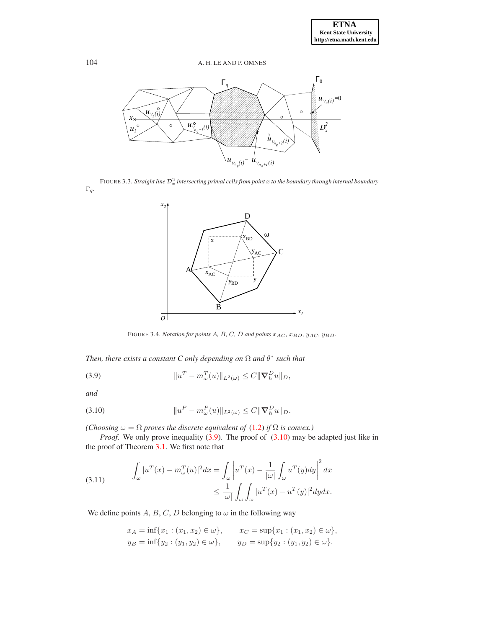

FIGURE 3.3. *Straight line*  $\mathcal{D}^2_x$  *intersecting primal cells from point*  $x$  *to the boundary through internal boundary* Γq*.*



<span id="page-10-0"></span>FIGURE 3.4. *Notation for points A, B, C, D and points*  $x_{AC}$ ,  $x_{BD}$ ,  $y_{AC}$ ,  $y_{BD}$ .

*Then, there exists a constant C only depending on*  $\Omega$  *and*  $\theta^*$  *such that* 

(3.9) 
$$
||u^T - m_{\omega}^T(u)||_{L^2(\omega)} \leq C ||\nabla_h^D u||_D,
$$

*and*

<span id="page-10-1"></span>(3.10) 
$$
||u^P - m_{\omega}^P(u)||_{L^2(\omega)} \leq C ||\nabla_h^D u||_D.
$$

*(Choosing*  $\omega = \Omega$  *proves the discrete equivalent of* [\(1.2\)](#page-0-1) *if*  $\Omega$  *is convex.)* 

*Proof.* We only prove inequality [\(3.9\)](#page-10-0). The proof of [\(3.10\)](#page-10-1) may be adapted just like in the proof of Theorem [3.1.](#page-5-5) We first note that

<span id="page-10-2"></span>(3.11) 
$$
\int_{\omega} |u^T(x) - m_{\omega}^T(u)|^2 dx = \int_{\omega} \left| u^T(x) - \frac{1}{|\omega|} \int_{\omega} u^T(y) dy \right|^2 dx
$$

$$
\leq \frac{1}{|\omega|} \int_{\omega} \int_{\omega} |u^T(x) - u^T(y)|^2 dy dx.
$$

We define points A, B, C, D belonging to  $\overline{\omega}$  in the following way

$$
x_A = \inf\{x_1 : (x_1, x_2) \in \omega\}, \qquad x_C = \sup\{x_1 : (x_1, x_2) \in \omega\},
$$
  
\n
$$
y_B = \inf\{y_2 : (y_1, y_2) \in \omega\}, \qquad y_D = \sup\{y_2 : (y_1, y_2) \in \omega\}.
$$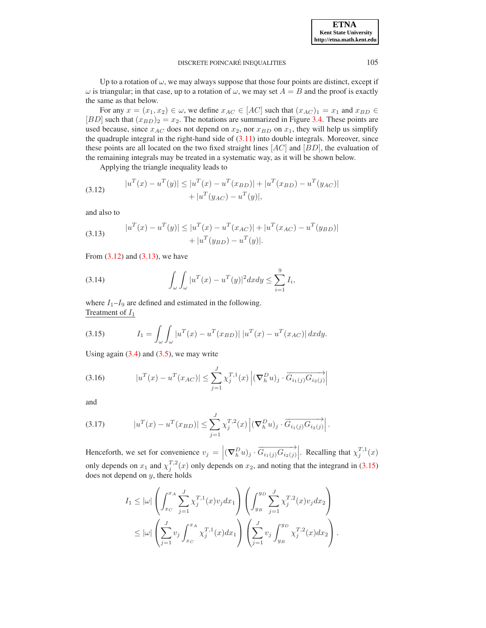Up to a rotation of  $\omega$ , we may always suppose that those four points are distinct, except if  $\omega$  is triangular; in that case, up to a rotation of  $\omega$ , we may set  $A = B$  and the proof is exactly the same as that below.

For any  $x = (x_1, x_2) \in \omega$ , we define  $x_{AC} \in [AC]$  such that  $(x_{AC})_1 = x_1$  and  $x_{BD} \in \mathbb{R}$ [BD] such that  $(x_{BD})_2 = x_2$ . The notations are summarized in Figure [3.4.](#page-23-0) These points are used because, since  $x_{AC}$  does not depend on  $x_2$ , nor  $x_{BD}$  on  $x_1$ , they will help us simplify the quadruple integral in the right-hand side of  $(3.11)$  into double integrals. Moreover, since these points are all located on the two fixed straight lines  $[AC]$  and  $[BD]$ , the evaluation of the remaining integrals may be treated in a systematic way, as it will be shown below.

Applying the triangle inequality leads to

<span id="page-11-0"></span>(3.12) 
$$
|u^T(x) - u^T(y)| \le |u^T(x) - u^T(x_{BD})| + |u^T(x_{BD}) - u^T(y_{AC})| + |u^T(y_{AC}) - u^T(y)|,
$$

and also to

<span id="page-11-1"></span>(3.13) 
$$
|u^T(x) - u^T(y)| \le |u^T(x) - u^T(x_{AC})| + |u^T(x_{AC}) - u^T(y_{BD})| + |u^T(y_{BD}) - u^T(y)|.
$$

From  $(3.12)$  and  $(3.13)$ , we have

<span id="page-11-4"></span>(3.14) 
$$
\int_{\omega} \int_{\omega} |u^{T}(x) - u^{T}(y)|^{2} dx dy \leq \sum_{i=1}^{9} I_{i},
$$

where  $I_1-I_9$  are defined and estimated in the following. Treatment of  $I_1$ 

<span id="page-11-2"></span>(3.15) 
$$
I_1 = \int_{\omega} \int_{\omega} |u^T(x) - u^T(x_{BD})| |u^T(x) - u^T(x_{AC})| dxdy.
$$

Using again  $(3.4)$  and  $(3.5)$ , we may write

<span id="page-11-5"></span>(3.16) 
$$
|u^{T}(x) - u^{T}(x_{AC})| \leq \sum_{j=1}^{J} \chi_{j}^{T,1}(x) \left| (\nabla_{h}^{D} u)_{j} \cdot \overrightarrow{G_{i_{1}(j)} G_{i_{2}(j)}} \right|
$$

and

<span id="page-11-3"></span>(3.17) 
$$
|u^{T}(x) - u^{T}(x_{BD})| \leq \sum_{j=1}^{J} \chi_{j}^{T,2}(x) \left| (\nabla_{h}^{D} u)_{j} \cdot \overrightarrow{G_{i_{1}(j)} G_{i_{2}(j)}} \right|.
$$

Henceforth, we set for convenience  $v_j = \left| (\nabla_h^D u)_j \cdot \overrightarrow{G_{i_1(j)} G_{i_2(j)}} \right|$ . Recalling that  $\chi_j^{T,1}(x)$ only depends on  $x_1$  and  $\chi_j^{T,2}(x)$  only depends on  $x_2$ , and noting that the integrand in [\(3.15\)](#page-11-2) does not depend on  $y$ , there holds

$$
I_1 \leq |\omega| \left( \int_{x_C}^{x_A} \sum_{j=1}^J \chi_j^{T,1}(x) v_j dx_1 \right) \left( \int_{y_B}^{y_D} \sum_{j=1}^J \chi_j^{T,2}(x) v_j dx_2 \right) \leq |\omega| \left( \sum_{j=1}^J v_j \int_{x_C}^{x_A} \chi_j^{T,1}(x) dx_1 \right) \left( \sum_{j=1}^J v_j \int_{y_B}^{y_D} \chi_j^{T,2}(x) dx_2 \right).
$$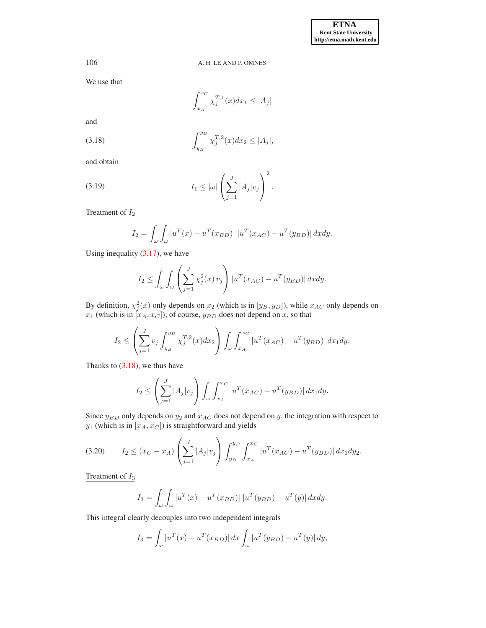We use that

<span id="page-12-0"></span>
$$
\int_{x_A}^{x_C} \chi_j^{T,1}(x) dx_1 \le |A_j|
$$

and

(3.18) 
$$
\int_{y_B}^{y_D} \chi_j^{T,2}(x) dx_2 \le |A_j|,
$$

and obtain

<span id="page-12-1"></span>
$$
(3.19) \t I_1 \leq |\omega| \left( \sum_{j=1}^J |A_j| v_j \right)^2.
$$

Treatment of  $I_2$ 

$$
I_2 = \int_{\omega} \int_{\omega} |u^T(x) - u^T(x_{BD})| |u^T(x_{AC}) - u^T(y_{BD})| dx dy.
$$

Using inequality [\(3.17\)](#page-11-3), we have

$$
I_2 \leq \int_{\omega} \int_{\omega} \left( \sum_{j=1}^J \chi_j^2(x) \, v_j \right) |u^T(x_{AC}) - u^T(y_{BD})| \, dx dy.
$$

By definition,  $\chi_j^2(x)$  only depends on  $x_2$  (which is in  $[y_B, y_D]$ ), while  $x_{AC}$  only depends on  $x_1$  (which is in  $[x_A, x_C]$ ); of course,  $y_{BD}$  does not depend on x, so that

$$
I_2 \leq \left(\sum_{j=1}^J v_j \int_{y_B}^{y_D} \chi_j^{T,2}(x) dx_2\right) \int_{\omega} \int_{x_A}^{x_C} |u^T(x_{AC}) - u^T(y_{BD})| dx_1 dy.
$$

Thanks to  $(3.18)$ , we thus have

$$
I_2 \le \left(\sum_{j=1}^J |A_j| v_j\right) \int_{\omega} \int_{x_A}^{x_C} |u^T(x_{AC}) - u^T(y_{BD})| \, dx_1 dy.
$$

Since  $y_{BD}$  only depends on  $y_2$  and  $x_{AC}$  does not depend on y, the integration with respect to  $y_1$  (which is in  $[x_A, x_C]$ ) is straightforward and yields

$$
(3.20) \t I_2 \le (x_C - x_A) \left( \sum_{j=1}^J |A_j| v_j \right) \int_{y_B}^{y_D} \int_{x_A}^{x_C} |u^T(x_{AC}) - u^T(y_{BD})| \, dx_1 dy_2.
$$

Treatment of  $I_3$ 

$$
I_3 = \int_{\omega} \int_{\omega} |u^T(x) - u^T(x_{BD})| |u^T(y_{BD}) - u^T(y)| dx dy.
$$

This integral clearly decouples into two independent integrals

$$
I_3 = \int_{\omega} |u^T(x) - u^T(x_{BD})| dx \int_{\omega} |u^T(y_{BD}) - u^T(y)| dy,
$$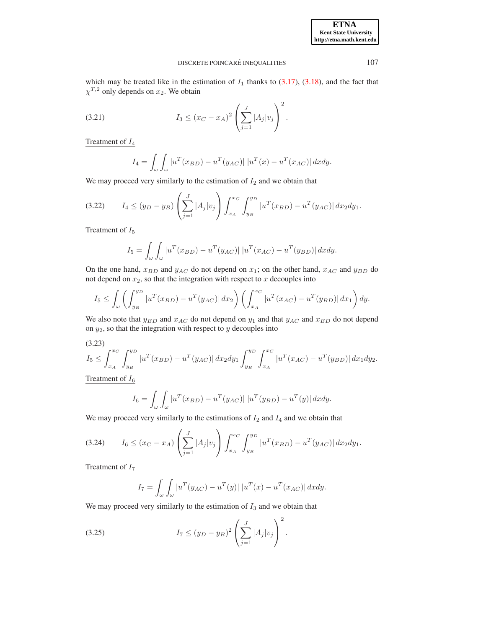which may be treated like in the estimation of  $I_1$  thanks to [\(3.17\)](#page-11-3), [\(3.18\)](#page-12-0), and the fact that  $\chi^{T,2}$  only depends on  $x_2$ . We obtain

(3.21) 
$$
I_3 \le (x_C - x_A)^2 \left( \sum_{j=1}^J |A_j| v_j \right)^2.
$$

Treatment of I<sup>4</sup>

$$
I_4 = \int_{\omega} \int_{\omega} |u^T(x_{BD}) - u^T(y_{AC})| |u^T(x) - u^T(x_{AC})| dx dy.
$$

We may proceed very similarly to the estimation of  $I_2$  and we obtain that

$$
(3.22) \t I_4 \le (y_D - y_B) \left( \sum_{j=1}^J |A_j| v_j \right) \int_{x_A}^{x_C} \int_{y_B}^{y_D} |u^T(x_{BD}) - u^T(y_{AC})| \, dx_2 dy_1.
$$

Treatment of  $I_5$ 

$$
I_5 = \int_{\omega} \int_{\omega} |u^T(x_{BD}) - u^T(y_{AC})| |u^T(x_{AC}) - u^T(y_{BD})| dx dy.
$$

On the one hand,  $x_{BD}$  and  $y_{AC}$  do not depend on  $x_1$ ; on the other hand,  $x_{AC}$  and  $y_{BD}$  do not depend on  $x_2$ , so that the integration with respect to  $x$  decouples into

$$
I_5 \le \int_{\omega} \left( \int_{y_B}^{y_D} |u^T(x_{BD}) - u^T(y_{AC})| \, dx_2 \right) \left( \int_{x_A}^{x_C} |u^T(x_{AC}) - u^T(y_{BD})| \, dx_1 \right) dy.
$$

We also note that  $y_{BD}$  and  $x_{AC}$  do not depend on  $y_1$  and that  $y_{AC}$  and  $x_{BD}$  do not depend on  $y_2$ , so that the integration with respect to  $y$  decouples into

$$
(3.23)
$$
  

$$
I_5 \le \int_{x_A}^{x_C} \int_{y_B}^{y_D} |u^T(x_{BD}) - u^T(y_{AC})| \, dx_2 dy_1 \int_{y_B}^{y_D} \int_{x_A}^{x_C} |u^T(x_{AC}) - u^T(y_{BD})| \, dx_1 dy_2.
$$

Treatment of  $I_6$ 

$$
I_6 = \int_{\omega} \int_{\omega} |u^T(x_{BD}) - u^T(y_{AC})| |u^T(y_{BD}) - u^T(y)| dx dy.
$$

We may proceed very similarly to the estimations of  $I_2$  and  $I_4$  and we obtain that

$$
(3.24) \tI_6 \le (x_C - x_A) \left( \sum_{j=1}^J |A_j| v_j \right) \int_{x_A}^{x_C} \int_{y_B}^{y_D} |u^T(x_{BD}) - u^T(y_{AC})| \, dx_2 dy_1.
$$

Treatment of  $I_7$ 

$$
I_7 = \int_{\omega} \int_{\omega} |u^T(y_{AC}) - u^T(y)| |u^T(x) - u^T(x_{AC})| dx dy.
$$

We may proceed very similarly to the estimation of  $I_3$  and we obtain that

(3.25) 
$$
I_7 \le (y_D - y_B)^2 \left( \sum_{j=1}^J |A_j| v_j \right)^2.
$$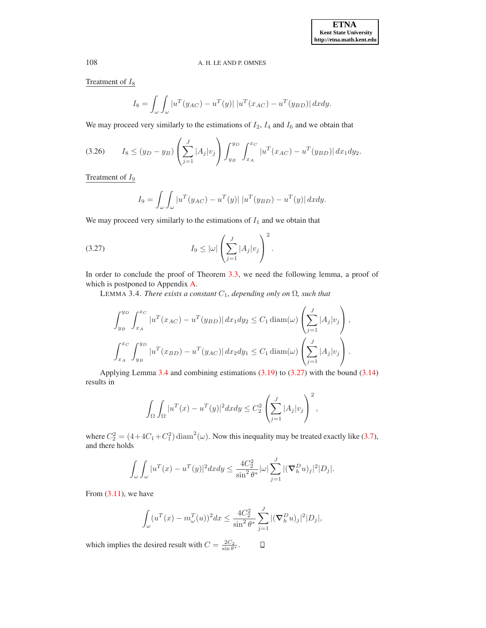Treatment of  $I_8$ 

$$
I_8 = \int_{\omega} \int_{\omega} |u^T(y_{AC}) - u^T(y)| |u^T(x_{AC}) - u^T(y_{BD})| dx dy.
$$

We may proceed very similarly to the estimations of  $I_2$ ,  $I_4$  and  $I_6$  and we obtain that

$$
(3.26) \tI_8 \le (y_D - y_B) \left( \sum_{j=1}^J |A_j| v_j \right) \int_{y_B}^{y_D} \int_{x_A}^{x_C} |u^T(x_{AC}) - u^T(y_{BD})| \, dx_1 dy_2.
$$

Treatment of  $I_9$ 

$$
I_9 = \int_{\omega} \int_{\omega} |u^T(y_{AC}) - u^T(y)| |u^T(y_{BD}) - u^T(y)| dx dy.
$$

We may proceed very similarly to the estimations of  $I_1$  and we obtain that

<span id="page-14-1"></span>
$$
(3.27) \tI_9 \leq |\omega| \left( \sum_{j=1}^J |A_j| v_j \right)^2.
$$

In order to conclude the proof of Theorem [3.3,](#page-9-1) we need the following lemma, a proof of which is postponed to Appendix [A.](#page-19-0)

LEMMA 3.4. *There exists a constant*  $C_1$ *, depending only on*  $\Omega$ *, such that* 

<span id="page-14-0"></span>
$$
\int_{y_B}^{y_D} \int_{x_A}^{x_C} |u^T(x_{AC}) - u^T(y_{BD})| dx_1 dy_2 \le C_1 \operatorname{diam}(\omega) \left( \sum_{j=1}^J |A_j| v_j \right),
$$
  

$$
\int_{x_A}^{x_C} \int_{y_B}^{y_D} |u^T(x_{BD}) - u^T(y_{AC})| dx_2 dy_1 \le C_1 \operatorname{diam}(\omega) \left( \sum_{j=1}^J |A_j| v_j \right).
$$

Applying Lemma [3.4](#page-14-0) and combining estimations [\(3.19\)](#page-12-1) to [\(3.27\)](#page-14-1) with the bound [\(3.14\)](#page-11-4) results in

$$
\int_{\Omega} \int_{\Omega} |u^T(x) - u^T(y)|^2 dx dy \le C_2^2 \left( \sum_{j=1}^J |A_j| v_j \right)^2,
$$

where  $C_2^2 = (4 + 4C_1 + C_1^2) \text{ diam}^2(\omega)$ . Now this inequality may be treated exactly like [\(3.7\)](#page-7-0), and there holds

$$
\int_{\omega} \int_{\omega} |u^T(x) - u^T(y)|^2 dx dy \le \frac{4C_2^2}{\sin^2 \theta^*} |\omega| \sum_{j=1}^J |(\nabla_h^D u)_j|^2 |D_j|.
$$

From  $(3.11)$ , we have

$$
\int_{\omega} (u^T(x) - m_{\omega}^T(u))^2 dx \le \frac{4C_2^2}{\sin^2 \theta^*} \sum_{j=1}^J |(\nabla_h^D u)_j|^2 |D_j|,
$$

which implies the desired result with  $C = \frac{2C_2}{\sin \theta^*}$ .  $\Box$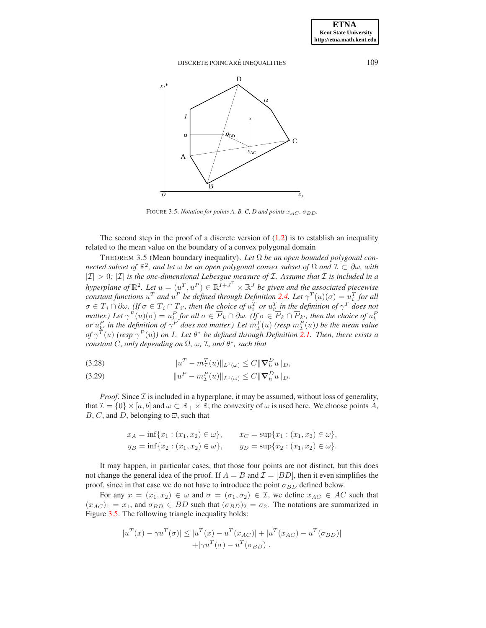

<span id="page-15-1"></span><span id="page-15-0"></span>FIGURE 3.5. *Notation for points A, B, C, D and points*  $x_{AC}$ ,  $\sigma_{BD}$ .

The second step in the proof of a discrete version of  $(1.2)$  is to establish an inequality related to the mean value on the boundary of a convex polygonal domain

THEOREM 3.5 (Mean boundary inequality). Let  $\Omega$  be an open bounded polygonal con*nected subset of* R 2 *, and let* ω *be an open polygonal convex subset of* Ω *and* I ⊂ ∂ω*, with*  $|I| > 0$ ;  $|I|$  *is the one-dimensional Lebesgue measure of I. Assume that I is included in a hyperplane of*  $\mathbb{R}^2$ . Let  $u = (u^T, u^P) \in \mathbb{R}^{I+J^{\Gamma}} \times \mathbb{R}^J$  be given and the associated piecewise *constant functions*  $u^T$  *and*  $u^P$  *be defined through Definition* [2.4.](#page-3-0) Let  $\gamma^T(u)(\sigma) = u_i^T$  *for all*  $\sigma \in \overline{T}_i \cap \partial \omega$ . (If  $\sigma \in \overline{T}_i \cap \overline{T}_{i'}$ , then the choice of  $u_i^T$  or  $u_{i'}^T$  in the definition of  $\gamma^T$  does not matter.) Let  $\gamma^P(u)(\sigma) = u_k^P$  for all  $\sigma \in \overline{P}_k \cap \partial \omega$ . (If  $\sigma \in \overline{P}_k \cap \overline{P}_{k'}$ , then the choice of  $u_k^P$ <br>or  $u_{k'}^P$  in the definition of  $\gamma^P$  does not matter.) Let  $m_{\mathcal{I}}^T(u)$  (resp  $m_{\mathcal{I}}^T(u)$ ) be the m *of*  $\gamma^{T}(u)$  (resp  $\gamma^{P}(u)$ ) on I. Let  $\theta^*$  be defined through Definition [2.1.](#page-2-1) Then, there exists a *constant* C, only depending on  $\Omega$ ,  $\omega$ ,  $\mathcal{I}$ , and  $\theta^*$ , such that

<span id="page-15-2"></span>(3.28) 
$$
||u^T - m_{\mathcal{I}}^T(u)||_{L^1(\omega)} \leq C ||\nabla_h^D u||_D,
$$

<span id="page-15-3"></span>(3.29) 
$$
||u^P - m_{\mathcal{I}}^P(u)||_{L^1(\omega)} \leq C ||\nabla_h^D u||_D.
$$

*Proof.* Since  $\mathcal{I}$  is included in a hyperplane, it may be assumed, without loss of generality, that  $\mathcal{I} = \{0\} \times [a, b]$  and  $\omega \subset \mathbb{R}_+ \times \mathbb{R}$ ; the convexity of  $\omega$  is used here. We choose points A, B, C, and D, belonging to  $\overline{\omega}$ , such that

$$
x_A = \inf\{x_1 : (x_1, x_2) \in \omega\}, \qquad x_C = \sup\{x_1 : (x_1, x_2) \in \omega\},
$$
  
\n
$$
y_B = \inf\{x_2 : (x_1, x_2) \in \omega\}, \qquad y_D = \sup\{x_2 : (x_1, x_2) \in \omega\}.
$$

It may happen, in particular cases, that those four points are not distinct, but this does not change the general idea of the proof. If  $A = B$  and  $\mathcal{I} = [BD]$ , then it even simplifies the proof, since in that case we do not have to introduce the point  $\sigma_{BD}$  defined below.

For any  $x = (x_1, x_2) \in \omega$  and  $\sigma = (\sigma_1, \sigma_2) \in \mathcal{I}$ , we define  $x_{AC} \in AC$  such that  $(x_{AC})_1 = x_1$ , and  $\sigma_{BD} \in BD$  such that  $(\sigma_{BD})_2 = \sigma_2$ . The notations are summarized in Figure [3.5.](#page-15-1) The following triangle inequality holds:

$$
|u^{T}(x) - \gamma u^{T}(\sigma)| \le |u^{T}(x) - u^{T}(x_{AC})| + |u^{T}(x_{AC}) - u^{T}(\sigma_{BD})|
$$
  
+|\gamma u^{T}(\sigma) - u^{T}(\sigma\_{BD})|.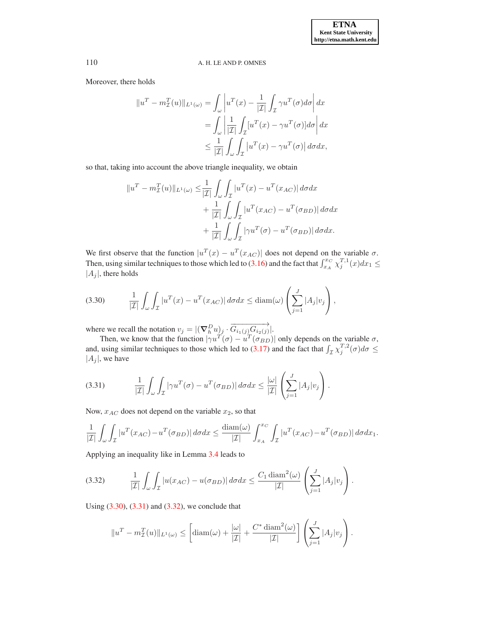Moreover, there holds

$$
\|u^T - m_{\mathcal{I}}^T(u)\|_{L^1(\omega)} = \int_{\omega} \left| u^T(x) - \frac{1}{|\mathcal{I}|} \int_{\mathcal{I}} \gamma u^T(\sigma) d\sigma \right| dx
$$
  

$$
= \int_{\omega} \left| \frac{1}{|\mathcal{I}|} \int_{\mathcal{I}} [u^T(x) - \gamma u^T(\sigma)] d\sigma \right| dx
$$
  

$$
\leq \frac{1}{|\mathcal{I}|} \int_{\omega} \int_{\mathcal{I}} |u^T(x) - \gamma u^T(\sigma)| d\sigma dx,
$$

so that, taking into account the above triangle inequality, we obtain

$$
||uT - m\mathcal{IT(u)||_{L1(\omega)} \le \frac{1}{|\mathcal{I}|} \int_{\omega} \int_{\mathcal{I}} |uT(x) - uT(x_{AC})| d\sigma dx + \frac{1}{|\mathcal{I}|} \int_{\omega} \int_{\mathcal{I}} |uT(x_{AC}) - uT(\sigma_{BD})| d\sigma dx + \frac{1}{|\mathcal{I}|} \int_{\omega} \int_{\mathcal{I}} |\gamma uT(\sigma) - uT(\sigma_{BD})| d\sigma dx.
$$

We first observe that the function  $|u^T(x) - u^T(x_{AC})|$  does not depend on the variable  $\sigma$ . Then, using similar techniques to those which led to [\(3.16\)](#page-11-5) and the fact that  $\int_{x_A}^{x_C} \chi_j^{T,1}(x) dx_1 \leq$  $|A_i|$ , there holds

<span id="page-16-0"></span>
$$
(3.30) \qquad \frac{1}{|\mathcal{I}|} \int_{\omega} \int_{\mathcal{I}} |u^T(x) - u^T(x_{AC})| \, d\sigma dx \le \text{diam}(\omega) \left( \sum_{j=1}^J |A_j| v_j \right),
$$

where we recall the notation  $v_j = |(\nabla_h^D u)_j \cdot \overrightarrow{G_{i_1(j)}G_{i_2(j)}}|$ .

Then, we know that the function  $|\gamma u^T(\sigma) - u^T(\sigma_{BD})|$  only depends on the variable  $\sigma$ , and, using similar techniques to those which led to [\(3.17\)](#page-11-3) and the fact that  $\int_{\mathcal{I}} \chi_j^{T,2}(\sigma) d\sigma \leq$  $|A_j|$ , we have

<span id="page-16-1"></span>
$$
(3.31) \qquad \frac{1}{|\mathcal{I}|} \int_{\omega} \int_{\mathcal{I}} |\gamma u^T(\sigma) - u^T(\sigma_{BD})| \, d\sigma dx \leq \frac{|\omega|}{|\mathcal{I}|} \left( \sum_{j=1}^J |A_j| v_j \right).
$$

Now,  $x_{AC}$  does not depend on the variable  $x_2$ , so that

$$
\frac{1}{|\mathcal{I}|} \int_{\omega} \int_{\mathcal{I}} |u^T(x_{AC}) - u^T(\sigma_{BD})| d\sigma dx \le \frac{\text{diam}(\omega)}{|\mathcal{I}|} \int_{x_A}^{x_C} \int_{\mathcal{I}} |u^T(x_{AC}) - u^T(\sigma_{BD})| d\sigma dx_1.
$$

Applying an inequality like in Lemma [3.4](#page-14-0) leads to

<span id="page-16-2"></span>
$$
(3.32) \qquad \frac{1}{|\mathcal{I}|} \int_{\omega} \int_{\mathcal{I}} |u(x_{AC}) - u(\sigma_{BD})| \, d\sigma dx \leq \frac{C_1 \operatorname{diam}^2(\omega)}{|\mathcal{I}|} \left( \sum_{j=1}^J |A_j| v_j \right).
$$

Using [\(3.30\)](#page-16-0), [\(3.31\)](#page-16-1) and [\(3.32\)](#page-16-2), we conclude that

$$
||u^T - m_{\mathcal{I}}^T(u)||_{L^1(\omega)} \leq \left[ \operatorname{diam}(\omega) + \frac{|\omega|}{|\mathcal{I}|} + \frac{C^* \operatorname{diam}^2(\omega)}{|\mathcal{I}|} \right] \left( \sum_{j=1}^J |A_j| v_j \right).
$$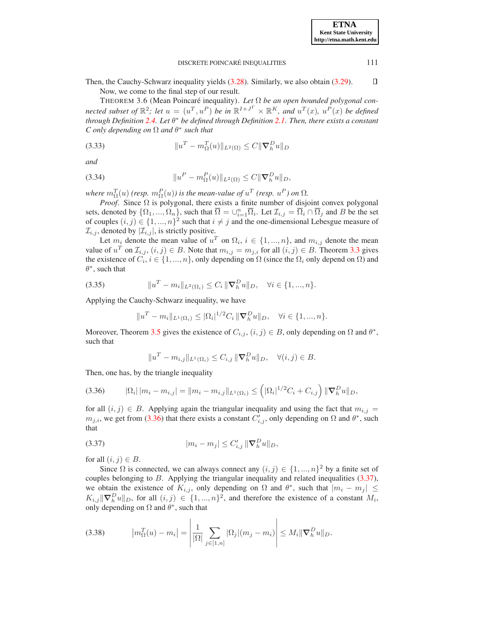Then, the Cauchy-Schwarz inequality yields [\(3.28\)](#page-15-2). Similarly, we also obtain [\(3.29\)](#page-15-3).  $\Box$ Now, we come to the final step of our result.

THEOREM 3.6 (Mean Poincaré inequality). Let Ω be an open bounded polygonal con*nected subset of*  $\mathbb{R}^2$ ; *let*  $u = (u^T, u^P)$  *be in*  $\mathbb{R}^{I+J^T} \times \mathbb{R}^K$ *, and*  $u^T(x)$ *,*  $u^P(x)$  *be defined through Definition [2.4.](#page-3-0) Let* θ <sup>∗</sup> *be defined through Definition [2.1.](#page-2-1) Then, there exists a constant C only depending on* Ω *and* θ ∗ *such that*

<span id="page-17-5"></span>(3.33) 
$$
||u^T - m_{\Omega}^T(u)||_{L^2(\Omega)} \leq C ||\nabla_h^D u||_D
$$

*and*

<span id="page-17-6"></span>(3.34) 
$$
||u^P - m_{\Omega}^P(u)||_{L^2(\Omega)} \leq C ||\nabla_h^D u||_D,
$$

*where*  $m_{\Omega}^{T}(u)$  (resp.  $m_{\Omega}^{P}(u)$ ) is the mean-value of  $u^{T}$  (resp.  $u^{P}$ ) on  $\Omega$ .

*Proof.* Since  $\Omega$  is polygonal, there exists a finite number of disjoint convex polygonal sets, denoted by  $\{\Omega_1,...,\Omega_n\}$ , such that  $\overline{\Omega} = \cup_{i=1}^n \overline{\Omega}_i$ . Let  $\mathcal{I}_{i,j} = \overline{\Omega}_i \cap \overline{\Omega}_j$  and B be the set of couples  $(i, j) \in \{1, ..., n\}^2$  such that  $i \neq j$  and the one-dimensional Lebesgue measure of  $\mathcal{I}_{i,j}$ , denoted by  $|\mathcal{I}_{i,j}|$ , is strictly positive.

Let  $m_i$  denote the mean value of  $u^T$  on  $\Omega_i$ ,  $i \in \{1, ..., n\}$ , and  $m_{i,j}$  denote the mean value of  $u^T$  on  $\mathcal{I}_{i,j}$ ,  $(i,j) \in B$ . Note that  $m_{i,j} = m_{j,i}$  for all  $(i,j) \in B$ . Theorem [3.3](#page-9-1) gives the existence of  $C_i$ ,  $i \in \{1, ..., n\}$ , only depending on  $\Omega$  (since the  $\Omega_i$  only depend on  $\Omega$ ) and  $\theta^*$ , such that

<span id="page-17-3"></span>(3.35) 
$$
||u^T - m_i||_{L^2(\Omega_i)} \leq C_i ||\nabla_h^D u||_D, \quad \forall i \in \{1, ..., n\}.
$$

Applying the Cauchy-Schwarz inequality, we have

$$
||u^T - m_i||_{L^1(\Omega_i)} \leq |\Omega_i|^{1/2} C_i ||\nabla_h^D u||_D, \quad \forall i \in \{1, ..., n\}.
$$

Moreover, Theorem [3.5](#page-15-0) gives the existence of  $C_{i,j}$ ,  $(i,j) \in B$ , only depending on  $\Omega$  and  $\theta^*$ , such that

$$
||u^T - m_{i,j}||_{L^1(\Omega_i)} \leq C_{i,j} ||\nabla_h^D u||_D, \quad \forall (i,j) \in B.
$$

Then, one has, by the triangle inequality

<span id="page-17-1"></span>
$$
(3.36) \t |\Omega_i| |m_i - m_{i,j}| = ||m_i - m_{i,j}||_{L^1(\Omega_i)} \leq (|\Omega_i|^{1/2}C_i + C_{i,j}) ||\nabla_h^D u||_D,
$$

for all  $(i, j) \in B$ . Applying again the triangular inequality and using the fact that  $m_{i,j} =$  $m_{j,i}$ , we get from [\(3.36\)](#page-17-1) that there exists a constant  $C'_{i,j}$ , only depending on  $\Omega$  and  $\theta^*$ , such that

<span id="page-17-2"></span>(3.37) 
$$
|m_i - m_j| \leq C'_{i,j} \|\nabla_h^D u\|_{D},
$$

for all  $(i, j) \in B$ .

Since  $\Omega$  is connected, we can always connect any  $(i, j) \in \{1, ..., n\}^2$  by a finite set of couples belonging to  $B$ . Applying the triangular inequality and related inequalities [\(3.37\)](#page-17-2), we obtain the existence of  $K_{i,j}$ , only depending on  $\Omega$  and  $\theta^*$ , such that  $|m_i - m_j| \leq$  $K_{i,j}$   $\|\nabla_h^D u\|_D$ , for all  $(i, j) \in \{1, ..., n\}^2$ , and therefore the existence of a constant  $M_i$ , only depending on  $\Omega$  and  $\theta^*$ , such that

 $\overline{1}$ 

<span id="page-17-4"></span>(3.38) 
$$
|m_{\Omega}^{T}(u) - m_{i}| = \left| \frac{1}{|\Omega|} \sum_{j \in [1,n]} |\Omega_{j}| (m_{j} - m_{i}) \right| \leq M_{i} \|\nabla_{h}^{D} u\|_{D}.
$$

<span id="page-17-0"></span>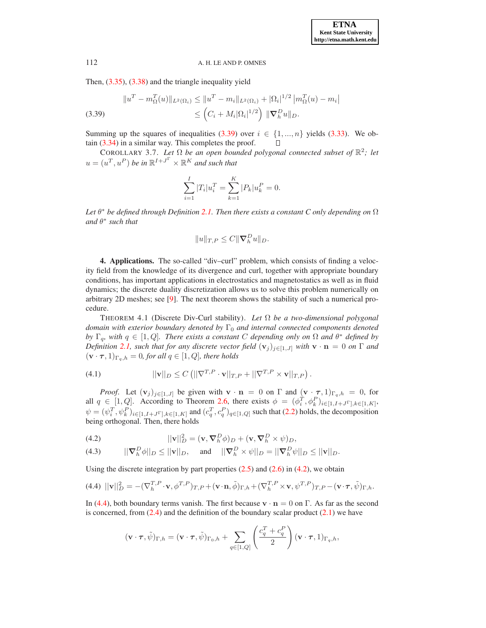Then, [\(3.35\)](#page-17-3), [\(3.38\)](#page-17-4) and the triangle inequality yield

<span id="page-18-1"></span>
$$
||uT - m_{\Omega}^{T}(u)||_{L^{2}(\Omega_{i})} \le ||uT - m_{i}||_{L^{2}(\Omega_{i})} + |\Omega_{i}|^{1/2} |m_{\Omega}^{T}(u) - m_{i}|
$$
  
(3.39)  

$$
\leq (C_{i} + M_{i}|\Omega_{i}|^{1/2}) ||\nabla_{h}^{D}u||_{D}.
$$

Summing up the squares of inequalities [\(3.39\)](#page-18-1) over  $i \in \{1, ..., n\}$  yields [\(3.33\)](#page-17-5). We obtain [\(3.34\)](#page-17-6) in a similar way. This completes the proof.  $\Box$ 

COROLLARY 3.7. Let  $\Omega$  be an open bounded polygonal connected subset of  $\mathbb{R}^2$ ; let  $u = (u^T, u^P)$  be in  $\mathbb{R}^{I+J^{\Gamma}} \times \mathbb{R}^{K}$  and such that

<span id="page-18-4"></span>
$$
\sum_{i=1}^{I} |T_i| u_i^T = \sum_{k=1}^{K} |P_k| u_k^P = 0.
$$

*Let* θ <sup>∗</sup> *be defined through Definition [2.1.](#page-2-1) Then there exists a constant C only depending on* Ω *and* θ ∗ *such that*

$$
||u||_{T,P} \leq C ||\nabla_h^D u||_D.
$$

<span id="page-18-0"></span>4. Applications. The so-called "div–curl" problem, which consists of finding a velocity field from the knowledge of its divergence and curl, together with appropriate boundary conditions, has important applications in electrostatics and magnetostatics as well as in fluid dynamics; the discrete duality discretization allows us to solve this problem numerically on arbitrary 2D meshes; see [\[9\]](#page-24-4). The next theorem shows the stability of such a numerical procedure.

THEOREM 4.1 (Discrete Div-Curl stability). *Let* Ω *be a two-dimensional polygonal domain with exterior boundary denoted by* Γ<sub>0</sub> *and internal connected components denoted by*  $\Gamma_q$ , with  $q \in [1, Q]$ . There exists a constant C depending only on  $\Omega$  and  $\theta^*$  defined by *Definition* [2.1,](#page-2-1) *such that for any discrete vector field*  $(\mathbf{v}_j)_{j\in[1,J]}$  *with*  $\mathbf{v} \cdot \mathbf{n} = 0$  *on*  $\Gamma$  *and*  $(\mathbf{v} \cdot \boldsymbol{\tau}, 1)_{\Gamma_a, h} = 0$ , for all  $q \in [1, Q]$ , there holds

<span id="page-18-5"></span>(4.1) 
$$
\|v\|_D \leq C \left( \|\nabla^{T,P} \cdot v\|_{T,P} + \|\nabla^{T,P} \times v\|_{T,P} \right).
$$

*Proof.* Let  $(v_j)_{j\in[1,J]}$  be given with  $v \cdot n = 0$  on  $\Gamma$  and  $(v \cdot \tau, 1)_{\Gamma_q, h} = 0$ , for all  $q \in [1, Q]$ . According to Theorem [2.6,](#page-4-1) there exists  $\phi = (\phi_i^T, \phi_k^P)_{i \in [1, I+J^{\Gamma}], k \in [1, K]}$ ,  $\psi = (\psi_i^T, \psi_k^P)_{i \in [1, I+J^{\Gamma}], k \in [1, K]}$  and  $(c_q^T, c_q^P)_{q \in [1, Q]}$  such that [\(2.2\)](#page-4-0) holds, the decomposition being orthogonal. Then, there holds

<span id="page-18-2"></span>(4.2) 
$$
||\mathbf{v}||_D^2 = (\mathbf{v}, \nabla_h^D \phi)_D + (\mathbf{v}, \nabla_h^D \times \psi)_D,
$$

<span id="page-18-6"></span>(4.3) 
$$
||\nabla_h^D \phi||_D \le ||\mathbf{v}||_D, \quad \text{and} \quad ||\nabla_h^D \times \psi||_D = ||\nabla_h^D \psi||_D \le ||\mathbf{v}||_D.
$$

Using the discrete integration by part properties  $(2.5)$  and  $(2.6)$  in  $(4.2)$ , we obtain

<span id="page-18-3"></span>(4.4) 
$$
||\mathbf{v}||_D^2 = -(\nabla_h^{T,P} \cdot \mathbf{v}, \phi^{T,P})_{T,P} + (\mathbf{v} \cdot \mathbf{n}, \tilde{\phi})_{\Gamma,h} + (\nabla_h^{T,P} \times \mathbf{v}, \psi^{T,P})_{T,P} - (\mathbf{v} \cdot \boldsymbol{\tau}, \tilde{\psi})_{\Gamma,h}.
$$

In [\(4.4\)](#page-18-3), both boundary terms vanish. The first because  $\mathbf{v} \cdot \mathbf{n} = 0$  on Γ. As far as the second is concerned, from  $(2.4)$  and the definition of the boundary scalar product  $(2.1)$  we have

$$
(\mathbf{v} \cdot \boldsymbol{\tau}, \tilde{\psi})_{\Gamma,h} = (\mathbf{v} \cdot \boldsymbol{\tau}, \tilde{\psi})_{\Gamma_0,h} + \sum_{q \in [1,Q]} \left( \frac{c_q^T + c_q^P}{2} \right) (\mathbf{v} \cdot \boldsymbol{\tau}, 1)_{\Gamma_q,h},
$$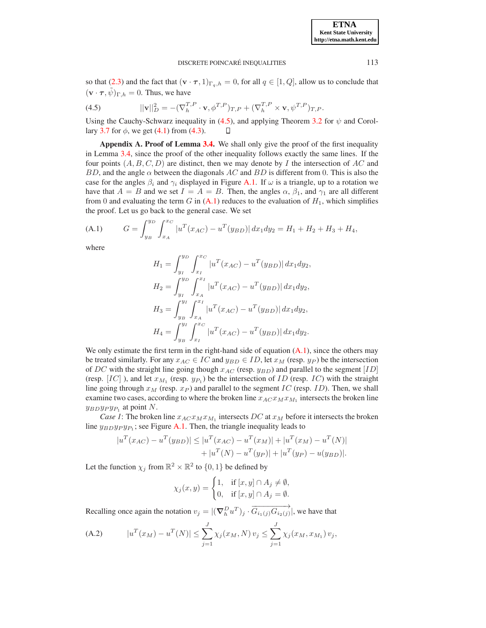so that [\(2.3\)](#page-4-3) and the fact that  $(\mathbf{v} \cdot \boldsymbol{\tau}, 1)_{\Gamma_q,h} = 0$ , for all  $q \in [1, Q]$ , allow us to conclude that  $(\mathbf{v} \cdot \boldsymbol{\tau}, \tilde{\psi})_{\Gamma,h} = 0$ . Thus, we have

<span id="page-19-1"></span>(4.5) 
$$
||\mathbf{v}||_D^2 = -(\nabla_h^{T,P} \cdot \mathbf{v}, \phi^{T,P})_{T,P} + (\nabla_h^{T,P} \times \mathbf{v}, \psi^{T,P})_{T,P}.
$$

<span id="page-19-0"></span>Using the Cauchy-Schwarz inequality in [\(4.5\)](#page-19-1), and applying Theorem [3.2](#page-8-0) for  $\psi$  and Corol-lary [3.7](#page-18-4) for  $\phi$ , we get [\(4.1\)](#page-18-5) from [\(4.3\)](#page-18-6). П

Appendix A. Proof of Lemma [3.4.](#page-14-0) We shall only give the proof of the first inequality in Lemma [3.4,](#page-14-0) since the proof of the other inequality follows exactly the same lines. If the four points  $(A, B, C, D)$  are distinct, then we may denote by I the intersection of AC and BD, and the angle  $\alpha$  between the diagonals AC and BD is different from 0. This is also the case for the angles  $\beta_i$  and  $\gamma_i$  displayed in Figure [A.1.](#page-20-0) If  $\omega$  is a triangle, up to a rotation we have that  $A = B$  and we set  $I = A = B$ . Then, the angles  $\alpha$ ,  $\beta_1$ , and  $\gamma_1$  are all different from 0 and evaluating the term G in  $(A.1)$  reduces to the evaluation of  $H_1$ , which simplifies the proof. Let us go back to the general case. We set

<span id="page-19-2"></span>(A.1) 
$$
G = \int_{y_B}^{y_D} \int_{x_A}^{x_C} |u^T(x_{AC}) - u^T(y_{BD})| dx_1 dy_2 = H_1 + H_2 + H_3 + H_4,
$$

where

$$
H_1 = \int_{y_I}^{y_D} \int_{x_I}^{x_C} |u^T(x_{AC}) - u^T(y_{BD})| dx_1 dy_2,
$$
  
\n
$$
H_2 = \int_{y_I}^{y_D} \int_{x_A}^{x_I} |u^T(x_{AC}) - u^T(y_{BD})| dx_1 dy_2,
$$
  
\n
$$
H_3 = \int_{y_B}^{y_I} \int_{x_A}^{x_I} |u^T(x_{AC}) - u^T(y_{BD})| dx_1 dy_2,
$$
  
\n
$$
H_4 = \int_{y_B}^{y_I} \int_{x_I}^{x_C} |u^T(x_{AC}) - u^T(y_{BD})| dx_1 dy_2.
$$

We only estimate the first term in the right-hand side of equation  $(A.1)$ , since the others may be treated similarly. For any  $x_{AC} \in IC$  and  $y_{BD} \in ID$ , let  $x_M$  (resp.  $y_P$ ) be the intersection of DC with the straight line going though  $x_{AC}$  (resp.  $y_{BD}$ ) and parallel to the segment [ID] (resp.  $[IC]$ ), and let  $x_{M_1}$  (resp.  $y_{P_1}$ ) be the intersection of ID (resp. IC) with the straight line going through  $x_M$  (resp.  $x_P$ ) and parallel to the segment  $IC$  (resp.  $ID$ ). Then, we shall examine two cases, according to where the broken line  $x_{AC}x_{M}x_{M_1}$  intersects the broken line  $y_{BD}y_Py_{P_1}$  at point N.

*Case 1*: The broken line  $x_{AC}x_{M}x_{M_1}$  intersects DC at  $x_{M}$  before it intersects the broken line  $y_{BD}y_Py_{P_1}$ ; see Figure [A.1.](#page-20-0) Then, the triangle inequality leads to

$$
|u^T(x_{AC}) - u^T(y_{BD})| \le |u^T(x_{AC}) - u^T(x_M)| + |u^T(x_M) - u^T(N)|
$$
  
+ |u^T(N) - u^T(y\_P)| + |u^T(y\_P) - u(y\_{BD})|.

Let the function  $\chi_j$  from  $\mathbb{R}^2 \times \mathbb{R}^2$  to  $\{0, 1\}$  be defined by

$$
\chi_j(x, y) = \begin{cases} 1, & \text{if } [x, y] \cap A_j \neq \emptyset, \\ 0, & \text{if } [x, y] \cap A_j = \emptyset. \end{cases}
$$

Recalling once again the notation  $v_j = |(\nabla_h^D u^T)_j \cdot \overrightarrow{G_{i_1(j)} G_{i_2(j)}}|$ , we have that

<span id="page-19-3"></span>(A.2) 
$$
|u^T(x_M) - u^T(N)| \le \sum_{j=1}^J \chi_j(x_M, N) v_j \le \sum_{j=1}^J \chi_j(x_M, x_{M_1}) v_j,
$$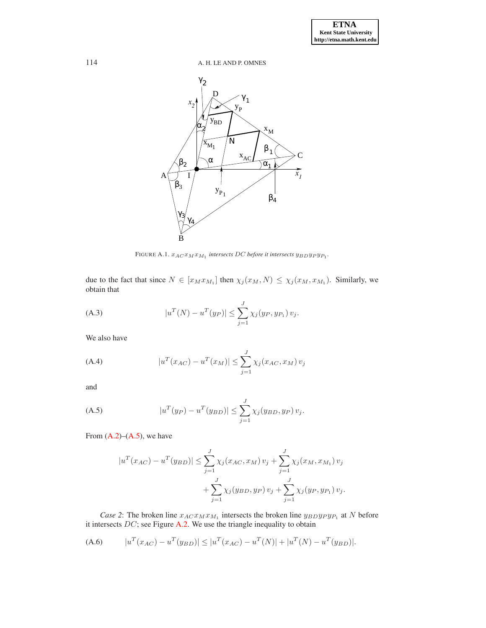

<span id="page-20-0"></span>FIGURE A.1.  $x_{ACTM}x_{M_1}$  intersects DC before it intersects  $y_{BD}y_Py_{P_1}$ .

due to the fact that since  $N \in [x_M x_{M_1}]$  then  $\chi_j(x_M, N) \leq \chi_j(x_M, x_{M_1})$ . Similarly, we obtain that

(A.3) 
$$
|u^T(N) - u^T(y_P)| \leq \sum_{j=1}^J \chi_j(y_P, y_{P_1}) v_j.
$$

We also have

(A.4) 
$$
|u^{T}(x_{AC}) - u^{T}(x_{M})| \leq \sum_{j=1}^{J} \chi_{j}(x_{AC}, x_{M}) v_{j}
$$

and

<span id="page-20-1"></span>(A.5) 
$$
|u^T(y_P) - u^T(y_{BD})| \le \sum_{j=1}^J \chi_j(y_{BD}, y_P) v_j.
$$

From  $(A.2)$ – $(A.5)$ , we have

$$
|u^T(x_{AC}) - u^T(y_{BD})| \le \sum_{j=1}^J \chi_j(x_{AC}, x_M) v_j + \sum_{j=1}^J \chi_j(x_M, x_{M_1}) v_j
$$
  
+ 
$$
\sum_{j=1}^J \chi_j(y_{BD}, y_P) v_j + \sum_{j=1}^J \chi_j(y_P, y_{P_1}) v_j.
$$

*Case 2*: The broken line  $x_{AC}x_{M}x_{M_1}$  intersects the broken line  $y_{BD}y_{P}y_{P_1}$  at N before it intersects  $DC$ ; see Figure [A.2.](#page-21-0) We use the triangle inequality to obtain

<span id="page-20-2"></span>(A.6) 
$$
|u^T(x_{AC}) - u^T(y_{BD})| \le |u^T(x_{AC}) - u^T(N)| + |u^T(N) - u^T(y_{BD})|.
$$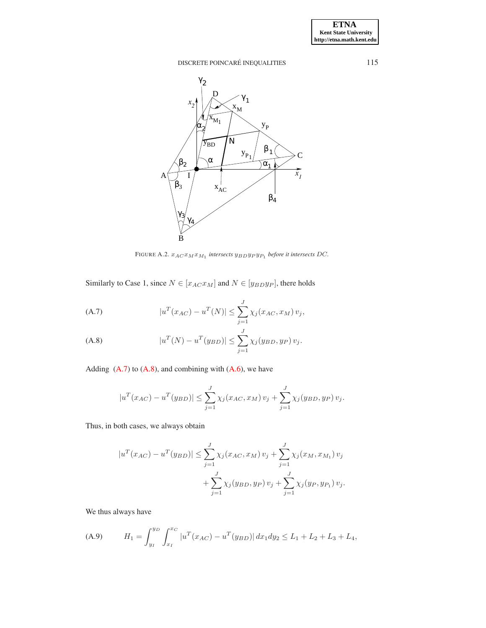

<span id="page-21-0"></span>FIGURE A.2.  $x_{ACTM}x_{M_1}$  intersects  $y_{BD}y_{P}y_{P_1}$  before it intersects DC.

Similarly to Case 1, since  $N \in [x_{AC}x_M]$  and  $N \in [y_{BD}y_P]$ , there holds

<span id="page-21-1"></span>(A.7) 
$$
|u^T(x_{AC}) - u^T(N)| \leq \sum_{j=1}^J \chi_j(x_{AC}, x_M) v_j,
$$

<span id="page-21-2"></span>(A.8) 
$$
|u^T(N) - u^T(y_{BD})| \le \sum_{j=1}^J \chi_j(y_{BD}, y_P) v_j.
$$

Adding  $(A.7)$  to  $(A.8)$ , and combining with  $(A.6)$ , we have

$$
|u^{T}(x_{AC}) - u^{T}(y_{BD})| \leq \sum_{j=1}^{J} \chi_{j}(x_{AC}, x_{M}) v_{j} + \sum_{j=1}^{J} \chi_{j}(y_{BD}, y_{P}) v_{j}.
$$

Thus, in both cases, we always obtain

$$
|u^{T}(x_{AC}) - u^{T}(y_{BD})| \leq \sum_{j=1}^{J} \chi_{j}(x_{AC}, x_{M}) v_{j} + \sum_{j=1}^{J} \chi_{j}(x_{M}, x_{M_{1}}) v_{j} + \sum_{j=1}^{J} \chi_{j}(y_{BD}, y_{P}) v_{j} + \sum_{j=1}^{J} \chi_{j}(y_{P}, y_{P_{1}}) v_{j}.
$$

We thus always have

<span id="page-21-3"></span>(A.9) 
$$
H_1 = \int_{y_I}^{y_D} \int_{x_I}^{x_C} |u^T(x_{AC}) - u^T(y_{BD})| dx_1 dy_2 \le L_1 + L_2 + L_3 + L_4,
$$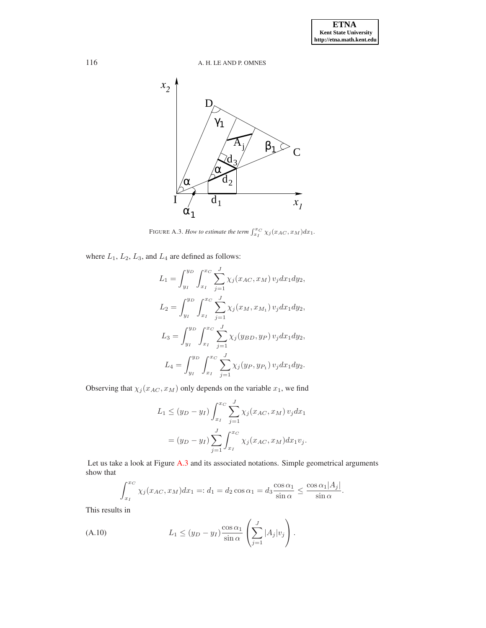

<span id="page-22-0"></span>FIGURE A.3. *How to estimate the term*  $\int_{x_I}^{x_C} \chi_j(x_{AC}, x_M) dx_1$ .

where  $L_1$ ,  $L_2$ ,  $L_3$ , and  $L_4$  are defined as follows:

$$
L_1 = \int_{y_I}^{y_D} \int_{x_I}^{x_C} \sum_{j=1}^J \chi_j(x_{AC}, x_M) v_j dx_1 dy_2,
$$
  
\n
$$
L_2 = \int_{y_I}^{y_D} \int_{x_I}^{x_C} \sum_{j=1}^J \chi_j(x_M, x_{M_1}) v_j dx_1 dy_2,
$$
  
\n
$$
L_3 = \int_{y_I}^{y_D} \int_{x_I}^{x_C} \sum_{j=1}^J \chi_j(y_{BD}, y_P) v_j dx_1 dy_2,
$$
  
\n
$$
L_4 = \int_{y_I}^{y_D} \int_{x_I}^{x_C} \sum_{j=1}^J \chi_j(y_P, y_{P_1}) v_j dx_1 dy_2.
$$

Observing that  $\chi_j(x_{AC}, x_M)$  only depends on the variable  $x_1$ , we find

$$
L_1 \le (y_D - y_I) \int_{x_I}^{x_C} \sum_{j=1}^J \chi_j(x_{AC}, x_M) v_j dx_1
$$
  
=  $(y_D - y_I) \sum_{j=1}^J \int_{x_I}^{x_C} \chi_j(x_{AC}, x_M) dx_1 v_j.$ 

Let us take a look at Figure [A.3](#page-22-0) and its associated notations. Simple geometrical arguments show that

$$
\int_{x_I}^{x_C} \chi_j(x_{AC}, x_M) dx_1 =: d_1 = d_2 \cos \alpha_1 = d_3 \frac{\cos \alpha_1}{\sin \alpha} \le \frac{\cos \alpha_1 |A_j|}{\sin \alpha}.
$$

This results in

(A.10) 
$$
L_1 \leq (y_D - y_I) \frac{\cos \alpha_1}{\sin \alpha} \left( \sum_{j=1}^J |A_j| v_j \right).
$$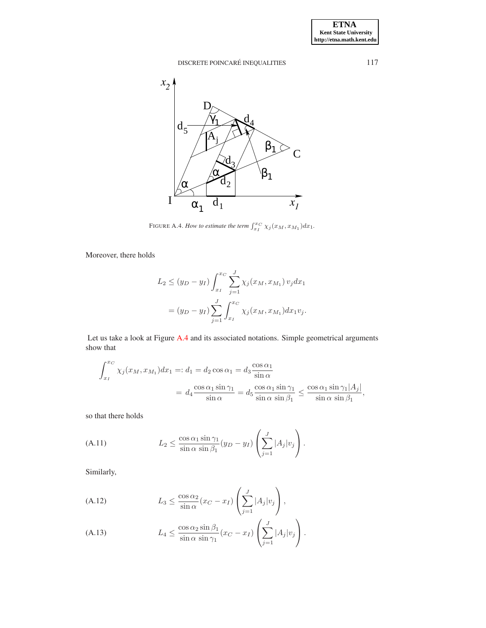

<span id="page-23-0"></span>FIGURE A.4. *How to estimate the term*  $\int_{x_I}^{x_C} \chi_j(x_M, x_{M_1}) dx_1$ .

Moreover, there holds

$$
L_2 \le (y_D - y_I) \int_{x_I}^{x_C} \sum_{j=1}^J \chi_j(x_M, x_{M_1}) v_j dx_1
$$
  
=  $(y_D - y_I) \sum_{j=1}^J \int_{x_I}^{x_C} \chi_j(x_M, x_{M_1}) dx_1 v_j.$ 

Let us take a look at Figure [A.4](#page-23-0) and its associated notations. Simple geometrical arguments show that

$$
\int_{x_I}^{x_C} \chi_j(x_M, x_{M_1}) dx_1 =: d_1 = d_2 \cos \alpha_1 = d_3 \frac{\cos \alpha_1}{\sin \alpha}
$$
  
=  $d_4 \frac{\cos \alpha_1 \sin \gamma_1}{\sin \alpha} = d_5 \frac{\cos \alpha_1 \sin \gamma_1}{\sin \alpha \sin \beta_1} \le \frac{\cos \alpha_1 \sin \gamma_1 |A_j|}{\sin \alpha \sin \beta_1},$ 

so that there holds

(A.11) 
$$
L_2 \leq \frac{\cos \alpha_1 \sin \gamma_1}{\sin \alpha \sin \beta_1} (y_D - y_I) \left( \sum_{j=1}^J |A_j| v_j \right).
$$

Similarly,

(A.12) 
$$
L_3 \leq \frac{\cos \alpha_2}{\sin \alpha} (x_C - x_I) \left( \sum_{j=1}^J |A_j| v_j \right),
$$

<span id="page-23-1"></span>(A.13) 
$$
L_4 \leq \frac{\cos \alpha_2 \sin \beta_1}{\sin \alpha \sin \gamma_1} (x_C - x_I) \left( \sum_{j=1}^J |A_j| v_j \right).
$$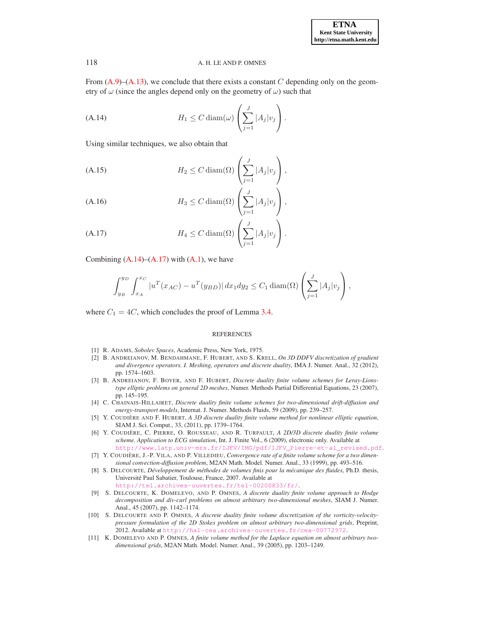From  $(A.9)$ – $(A.13)$ , we conclude that there exists a constant C depending only on the geometry of  $\omega$  (since the angles depend only on the geometry of  $\omega$ ) such that

<span id="page-24-11"></span>(A.14) 
$$
H_1 \leq C \operatorname{diam}(\omega) \left( \sum_{j=1}^J |A_j| v_j \right).
$$

Using similar techniques, we also obtain that

(A.15) 
$$
H_2 \leq C \operatorname{diam}(\Omega) \left( \sum_{j=1}^J |A_j| v_j \right),
$$

(A.16) 
$$
H_3 \leq C \operatorname{diam}(\Omega) \left( \sum_{j=1}^J |A_j| v_j \right),
$$

<span id="page-24-12"></span>(A.17) 
$$
H_4 \leq C \operatorname{diam}(\Omega) \left( \sum_{j=1}^J |A_j| v_j \right).
$$

Combining  $(A.14)$ – $(A.17)$  with  $(A.1)$ , we have

$$
\int_{y_B}^{y_D} \int_{x_A}^{x_C} |u^T(x_{AC}) - u^T(y_{BD})| dx_1 dy_2 \le C_1 \operatorname{diam}(\Omega) \left( \sum_{j=1}^J |A_j| v_j \right),
$$

where  $C_1 = 4C$ , which concludes the proof of Lemma [3.4.](#page-14-0)

#### **REFERENCES**

- <span id="page-24-0"></span>[1] R. ADAMS, *Sobolev Spaces*, Academic Press, New York, 1975.
- <span id="page-24-8"></span>[2] B. ANDREIANOV, M. BENDAHMANE, F. HUBERT, AND S. KRELL, *On 3D DDFV discretization of gradient and divergence operators. I. Meshing, operators and discrete duality*, IMA J. Numer. Anal., 32 (2012), pp. 1574–1603.
- <span id="page-24-2"></span>[3] B. ANDREIANOV, F. BOYER, AND F. HUBERT, *Discrete duality finite volume schemes for Leray-Lionstype elliptic problems on general 2D meshes*, Numer. Methods Partial Differential Equations, 23 (2007), pp. 145–195.
- <span id="page-24-6"></span>[4] C. CHAINAIS-HILLAIRET, *Discrete duality finite volume schemes for two-dimensional drift-diffusion and energy-transport models*, Internat. J. Numer. Methods Fluids, 59 (2009), pp. 239–257.
- <span id="page-24-9"></span>[5] Y. COUDIÈRE AND F. HUBERT, *A 3D discrete duality finite volume method for nonlinear elliptic equation*, SIAM J. Sci. Comput., 33, (2011), pp. 1739–1764.
- <span id="page-24-3"></span>[6] Y. COUDIÈRE, C. PIERRE, O. ROUSSEAU, AND R. TURPAULT, *A 2D/3D discrete duality finite volume scheme. Application to ECG simulation*, Int. J. Finite Vol., 6 (2009), electronic only. Available at [http://www.latp.univ-mrs.fr/IJFV/IMG/pdf/IJFV\\_Pierre-et-al\\_revised.pdf](http://www.latp.univ-mrs.fr/IJFV/IMG/pdf/IJFV_Pierre-et-al_revised.pdf).
- <span id="page-24-10"></span>[7] Y. COUDIÈRE, J.-P. VILA, AND P. VILLEDIEU, *Convergence rate of a finite volume scheme for a two dimensional convection-diffusion problem*, M2AN Math. Model. Numer. Anal., 33 (1999), pp. 493–516.
- <span id="page-24-5"></span>[8] S. DELCOURTE, *Developpement de m ´ ethodes de volumes finis pour la m ´ ecanique des fluides ´* , Ph.D. thesis, Universite Paul Sabatier, Toulouse, France, 2007. Available at ´ <http://tel.archives-ouvertes.fr/tel-00200833/fr/>.
- <span id="page-24-4"></span>[9] S. DELCOURTE, K. DOMELEVO, AND P. OMNES, *A discrete duality finite volume approach to Hodge decomposition and div-curl problems on almost arbitrary two-dimensional meshes*, SIAM J. Numer. Anal., 45 (2007), pp. 1142–1174.
- <span id="page-24-7"></span>[10] S. DELCOURTE AND P. OMNES, *A discrete duality finite volume discretization of the vorticity-velocitypressure formulation of the 2D Stokes problem on almost arbitrary two-dimensional grids*, Preprint, 2012. Available at <http://hal-cea.archives-ouvertes.fr/cea-00772972>.
- <span id="page-24-1"></span>[11] K. DOMELEVO AND P. OMNES, *A finite volume method for the Laplace equation on almost arbitrary twodimensional grids*, M2AN Math. Model. Numer. Anal., 39 (2005), pp. 1203–1249.